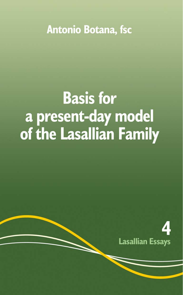**Antonio Botana, fsc** 

# **Basis for** a present-day model of the Lasallian Family

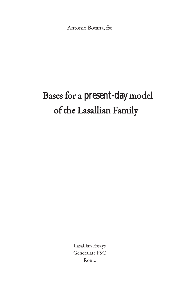Antonio Botana, fsc

## Bases for a present-day model of the Lasallian Family

Lasallian Essays Generalate FSC Rome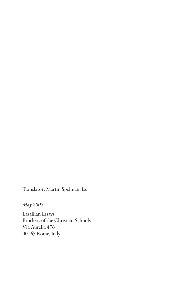Translator: Martin Spelman, fsc

*May 2008*

Lasallian Essays Brothers of the Christian Schools Via Aurelia 476 00165 Rome, Italy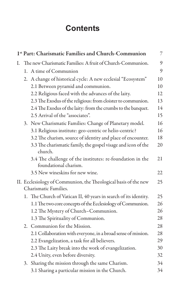## **Contents**

| 1st Part: Charismatic Families and Church-Communion |                                                            |                                                                                          |    |  |
|-----------------------------------------------------|------------------------------------------------------------|------------------------------------------------------------------------------------------|----|--|
| I.                                                  | The new Charismatic Families: A fruit of Church-Communion. |                                                                                          |    |  |
|                                                     |                                                            | 1. A time of Communion                                                                   | 9  |  |
|                                                     |                                                            | 2. A change of historical cycle: A new ecclesial "Ecosystem"                             | 10 |  |
|                                                     |                                                            | 2.1 Between pyramid and communion.                                                       | 10 |  |
|                                                     |                                                            | 2.2 Religious faced with the advances of the laity.                                      | 12 |  |
|                                                     |                                                            | 2.3 The Exodus of the religious: from cloister to communion.                             | 13 |  |
|                                                     |                                                            | 2.4 The Exodus of the laity: from the crumbs to the banquet.                             | 14 |  |
|                                                     |                                                            | 2.5 Arrival of the "associates".                                                         | 15 |  |
|                                                     |                                                            | 3. New Charismatic Families: Change of Planetary model.                                  | 16 |  |
|                                                     |                                                            | 3.1 Religious institute: geo-centric or helio-centric?                                   | 16 |  |
|                                                     |                                                            | 3.2 The charism, source of identity and place of encounter.                              | 18 |  |
|                                                     |                                                            | 3.3 The charismatic family, the gospel visage and icon of the<br>church.                 | 20 |  |
|                                                     |                                                            | 3.4 The challenge of the institutes: re-foundation in the<br>foundational charism.       | 21 |  |
|                                                     |                                                            | 3.5 New wineskins for new wine.                                                          | 22 |  |
|                                                     |                                                            | II. Ecclesiology of Communion, the Theological basis of the new<br>Charismatic Families. | 25 |  |
|                                                     |                                                            | 1. The Church of Vatican II, 40 years in search of its identity.                         | 25 |  |
|                                                     |                                                            | 1.1 The two core concepts of the Ecclesiology of Communion.                              | 26 |  |
|                                                     |                                                            | 1.2 The Mystery of Church-Communion.                                                     | 26 |  |
|                                                     |                                                            | 1.3 The Spirituality of Communion.                                                       | 28 |  |
|                                                     |                                                            | 2. Communion for the Mission.                                                            | 28 |  |
|                                                     |                                                            | 2.1 Collaboration with everyone, in a broad sense of mission.                            | 28 |  |
|                                                     |                                                            | 2.2 Evangelization, a task for all believers.                                            | 29 |  |
|                                                     |                                                            | 2.3 The Laity break into the work of evangelization.                                     | 30 |  |
|                                                     |                                                            | 2.4 Unity, even before diversity.                                                        | 32 |  |
|                                                     | 3.                                                         | Sharing the mission through the same Charism.                                            | 34 |  |
|                                                     |                                                            | 3.1 Sharing a particular mission in the Church.                                          | 34 |  |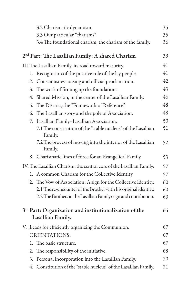|  |                                                                      | 3.2 Charismatic dynamism.                                                               | 35 |  |
|--|----------------------------------------------------------------------|-----------------------------------------------------------------------------------------|----|--|
|  |                                                                      | 3.3 Our particular "charisms".                                                          | 35 |  |
|  |                                                                      | 3.4 The foundational charism, the charism of the family.                                | 36 |  |
|  | 2 <sup>nd</sup> Part: The Lasallian Family: A shared Charism         |                                                                                         |    |  |
|  | III. The Lasallian Family, its road toward maturity.                 |                                                                                         |    |  |
|  | 1.                                                                   | Recognition of the positive role of the lay people.                                     | 41 |  |
|  |                                                                      | 2. Consciousness raising and official proclamation.                                     | 42 |  |
|  | 3.                                                                   | The work of firming up the foundations.                                                 | 43 |  |
|  | 4.                                                                   | Shared Mission, in the center of the Lasallian Family.                                  | 46 |  |
|  | 5.                                                                   | The District, the "Framework of Reference".                                             | 48 |  |
|  | 6.                                                                   | The Lasallian story and the pole of Association.                                        | 48 |  |
|  |                                                                      | 7. Lasallian Family-Lasallian Association.                                              | 50 |  |
|  |                                                                      | 7.1 The constitution of the "stable nucleus" of the Lasallian<br>Family.                | 51 |  |
|  |                                                                      | 7.2 The process of moving into the interior of the Lasallian<br>Family.                 | 52 |  |
|  |                                                                      | 8. Charismatic lines of force for an Evangelical Family                                 | 53 |  |
|  | IV. The Lasallian Charism, the central core of the Lasallian Family. | 57                                                                                      |    |  |
|  |                                                                      | 1. A common Charism for the Collective Identity.                                        | 57 |  |
|  |                                                                      | 2. The Vow of Association: A sign for the Collective Identity.                          | 60 |  |
|  |                                                                      | 2.1 The re-encounter of the Brother with his original identity.                         | 60 |  |
|  |                                                                      | 2.2 The Brothers in the Lasallian Family: sign and contribution.                        | 63 |  |
|  |                                                                      | 3 <sup>rd</sup> Part: Organization and institutionalization of the<br>Lasallian Family. | 65 |  |
|  |                                                                      | V. Leads for efficiently organizing the Communion.                                      | 67 |  |
|  |                                                                      | <b>ORIENTATIONS:</b>                                                                    | 67 |  |
|  |                                                                      | 1. The basic structure.                                                                 | 67 |  |
|  | 2.                                                                   | The responsibility of the initiative.                                                   | 68 |  |
|  | 3.                                                                   | Personal incorporation into the Lasallian Family.                                       | 70 |  |
|  |                                                                      | 4. Constitution of the "stable nucleus" of the Lasallian Family.                        | 71 |  |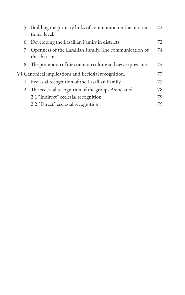|                                                       | 5. Building the primary links of communion on the interna-<br>tional level. | 72 |  |  |
|-------------------------------------------------------|-----------------------------------------------------------------------------|----|--|--|
|                                                       | 6. Developing the Lasallian Family in districts.                            | 72 |  |  |
|                                                       | 7. Openness of the Lasallian Family. The communication of<br>the charism.   | 74 |  |  |
|                                                       | 8. The promotion of the common culture and new expressions.                 | 74 |  |  |
| VI. Canonical implications and Ecclesial recognition. |                                                                             |    |  |  |
|                                                       | 1. Ecclesial recognition of the Lasallian Family.                           | 77 |  |  |
|                                                       | 2. The ecclesial recognition of the groups Associated.                      | 78 |  |  |
|                                                       | 2.1 "Indirect" ecclesial recognition.                                       | 79 |  |  |
|                                                       | 2.2 "Direct" ecclesial recognition.                                         | 79 |  |  |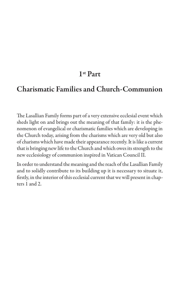#### **1st Part**

#### **Charismatic Families and Church-Communion**

The Lasallian Family forms part of a very extensive ecclesial event which sheds light on and brings out the meaning of that family: it is the phenomenon of evangelical or charismatic families which are developing in the Church today, arising from the charisms which are very old but also of charisms which have made their appearance recently. It is like a current that is bringing new life to the Church and which owes its strength to the new ecclesiology of communion inspired in Vatican Council II.

In order to understand the meaning and the reach of the Lasallian Family and to solidly contribute to its building up it is necessary to situate it, firstly, in the interior of this ecclesial current that we will present in chapters 1 and 2.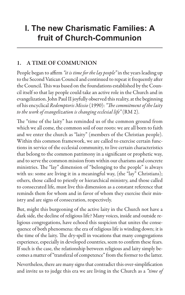## **I. The new Charismatic Families: A fruit of Church-Communion**

#### **1. A TIME OF COMMUNION**

People began to affirm *"it is time for the lay people"* in the years leading up to the Second Vatican Council and continued to repeat it frequently after the Council. This was based on the foundations established by the Council itself so that lay people could take an active role in the Church and in evangelization. John Paul II joyfully observed this reality, at the beginning of his encyclical *Redemptoris Missio* (1990): *"The commitment of the laity to the work of evangelization is changing ecclesial life"* (RM 2).

The "time of the laity" has reminded us of the common ground from which we all come, the common soil of our roots: we are all born to faith and we enter the church as "laity" (members of the Christian people). Within this common framework, we are called to exercise certain functions in service of the ecclesial community, to live certain characteristics that belong to the common patrimony in a significant or prophetic way, and to serve the common mission from within our charisms and concrete ministries. The "lay" dimension of "belonging to the people" is always with us: some are living it in a meaningful way, (the "lay" Christians); others, those called to priestly or hierarchical ministry, and those called to consecrated life, must live this dimension as a constant reference that reminds them for whom and in favor of whom they exercise their ministry and are signs of consecration, respectively.

But, might this burgeoning of the active laity in the Church not have a dark side, the decline of religious life? Many voices, inside and outside religious congregations, have echoed this suspicion that unites the consequence of both phenomena: the era of religious life is winding down; it is the time of the laity. The dry-spell in vocations that many congregations experience, especially in developed countries, seem to confirm these fears. If such is the case, the relationship between religious and laity simply becomes a matter of "transferal of competence" from the former to the latter.

Nevertheless, there are many signs that contradict this over-simplification and invite us to judge this era we are living in the Church as a *"time of*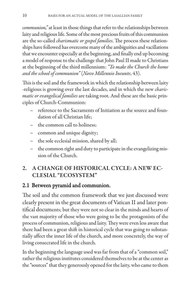*communion,"*at least in those things that refer to the relationships between laity and religious life. Some of the most precious fruits of this communion are the so-called *charismatic or gospel families*. The process these relationships have followed has overcome many of the ambiguities and vacillations that we encounter especially at the beginning, and finally end up becoming a model of response to the challenge that John Paul II made to Christians at the beginning of the third millennium: *"To make the Church the home and the school of communion"* (*Novo Millennio Ineunte*, 43).

This is the soil and the framework in which the relationship between laity -religious is growing over the last decades, and in which the new *charismatic or evangelical families*are taking root. And these are the basic principles of Church-Communion:

- reference to the Sacraments of Initiation as the source and foundation of all Christian life;
- the common call to holiness;
- common and unique dignity;
- the sole ecclesial mission, shared by all;
- the common right and duty to participate in the evangelizing mission of the Church.

#### **2. A CHANGE OF HISTORICAL CYCLE: A NEW EC-CLESIAL "ECOSYSTEM"**

#### 2.1 Between pyramid and communion.

The soil and the common framework that we just discussed were clearly present in the great documents of Vatican II and later pontifical documents; but they were not so clear in the minds and hearts of the vast majority of those who were going to be the protagonists of the process of communion, religious and laity. They were even less aware that there had been a great shift in historical cycle that was going to substantially affect the inner life of the church, and more concretely, the way of living consecrated life in the church.

In the beginning the language used was far from that of a "common soil," rather the religious institutes considered themselves to be at the center as the "sources" that they generously opened for the laity, who came to them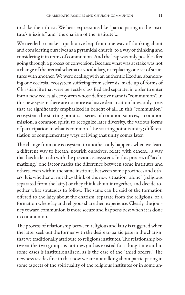to slake their thirst. We hear expressions like "participating in the institute's mission," and "the charism of the institute"…

We needed to make a qualitative leap from one way of thinking about and considering ourselves as a pyramidal church, to a way of thinking and considering it in terms of communion. And the leap was only posible after going through a process of conversion. Because what was at stake was not a change of theoretical schema or vocabulary, or replacing one set of structures with another. We were dealing with an authentic Exodus: abandoning one ecclesial ecosystem suffering from sclerosis, made up of forms of Christian life that were perfectly classified and separate, in order to enter into a new ecclesial ecosystem whose definitive name is "communion". In this new system there are no more exclusive demarcation lines, only areas that are significantly emphasized in benefit of all. In this "communion" ecosystem the starting point is a series of common sources, a common mission, a common spirit, to recognize later diversity, the various forms of participation in what is common. The starting point is unity; differentiation of complementary ways of living that unity comes later.

The change from one ecosystem to another only happens when we learn a different way to breath, nourish ourselves, relate with others… a way that has little to do with the previous ecosystem. In this process of "acclimatizing," one factor marks the difference between some institutes and others, even within the same institute, between some provinces and others. It is whether or not they think of the new situation "alone" (religious separated from the laity) or they think about it together, and decide together what strategies to follow. The same can be said of the formation offered to the laity about the charism, separate from the religious, or a formation where lay and religious share their experience. Clearly, the journey toward communion is more secure and happens best when it is done in communion.

The process of relationship between religious and laity is triggered when the latter seek out the former with the desire to participate in the charism that we traditionally attribute to religious institutes. The relationship between the two groups is not new; it has existed for a long time and in some cases is institutionalized, as is the case of the "third orders." The newness resides first in that now we are not talking about participating in some aspects of the spirituality of the religious institutes or in some an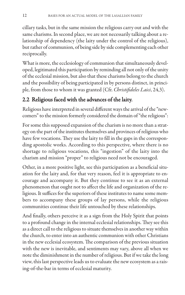cillary tasks, but in the same mission the religious carry out and with the same charisms. In second place, we are not necessarily talking about a relationship of dependency (the laity under the control of the religious), but rather of communion, of being side by side complementing each other reciprocally.

What is more, the ecclesiology of communion that simultaneously developed, legitimated this participation by reminding all not only of the unity of the ecclesial mission, but also that these charisms belong to the church and the possibility of being participated in by persons distinct, in principle, from those to whom it was granted (Cfr. *Christifideles Laici*, 24,3).

#### 2.2 Religious faced with the advances of the laity.

Religious have interpreted in several different ways the arrival of the "newcomers" to the mission formerly considered the domain of "the religious":

For some this supposed expansion of the charism is no more than a strategy on the part of the institutes themselves and provinces of religious who have few vocations. They use the laity to fill in the gaps in the corresponding apostolic works. According to this perspective, where there is no shortage to religious vocations, this "ingestion" of the laity into the charism and mission "proper" to religious need not be encouraged.

Other, in a more positive light, see this participation as a beneficial situation for the laity and, for that very reason, feel it is appropriate to encourage and accompany it. But they continue to see it as an external phenomenon that ought not to affect the life and organization of the religious. It suffices for the superiors of these institutes to name some members to accompany these groups of lay persons, while the religious communities continue their life untouched by these relationships.

And finally, others perceive it as a sign from the Holy Spirit that points to a profound change in the internal ecclesial relationships. They see this as a direct call to the religious to situate themselves in another way within the church, to enter into an authentic communion with other Christians in the new ecclesial ecosystem. The comparison of the previous situation with the new is inevitable, and sentiments may vary, above all when we note the diminishment in the number of religious. But if we take the long view, this last perspective leads us to evaluate the new ecosystem as a raising-of-the-bar in terms of ecclesial maturity.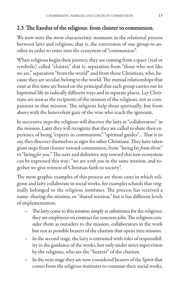#### 2.3 The Exodus of the religious: from cloister to communion.

We now note the most characteristic moments in the relational process between laity and religious, that is, the conversion of one group to another in order to enter into the ecosystem of "communion".

When religious begin their journey, they are coming from a space (real or symbolic) called "cloister," that is: separation from "those who not like we are," separation "from the world" and from those Christians, who, because they are secular, belong to the world. The mutual relationships that exist at this time are based on the principal that each group carries out its baptismal life in radically different ways and in separate places. Lay Christians are seen as the recipients of the mission of the religious, not as companions in that mission. The religious help them spiritually, but from above with the benevolent gaze of the wise who teach the ignorant.

In successive steps the religious will discover the laity as "collaborators" in the mission. Later they will recognize that they are called to share their experience of being "experts in communion," "spiritual guides"… That is to say, they discover themselves as signs for other Christians. They have taken giant steps from cloister toward communion, from "being far *from them*" to "being *for you*." The next and definitive step toward this new ecosystem can be expressed this way: "we are *with you* in the same mission, and together we give witness of Christian faith to society".

The most graphic examples of this process are those cases in which religious and laity collaborate in social works, for examples schools that originally belonged to the religious institutes. The process has received a name: sharing the mission, or "shared mission," but it has different levels of implementation:

- The laity come to this mission simply as substitutes for the religious; they are employees on contract for concrete jobs. The religious consider them as outsiders to the mission, collaborators in the work but not as possible bearers of the charism that opens into mission.
- In the second stage, the laity is entrusted with roles of responsibility in the guidance of the works, but only under strict supervision by the religious, who are the "bearers" of the charism.
- In the next stage they are now considered bearers of the Spirit that comes from the religious institutes to continue their social works,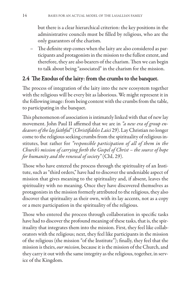but there is a clear hierarchical criterion: the key positions in the administrative councils must be filled by religious, who are the only guarantors of the charism.

– The definite step comes when the laity are also considered as participants and protagonists in the mission to the fullest extent, and therefore, they are also bearers of the charism. Then we can begin to talk about being "associated" in the charism for the mission.

#### 2.4 The Exodus of the laity: from the crumbs to the banquet.

The process of integration of the laity into the new ecosystem together with the religious will be every bit as laborious. We might represent it in the following image: from being content with the crumbs from the table, to participating in the banquet.

This phenomenon of association is intimately linked with that of new lay movement. John Paul II affirmed that we are in *"a new era of group endeavors of the lay faithful"*(*Christifideles Laici* 29). Lay Christian no longer come to the religious seeking crumbs from the spirituality of religious institutes, but rather for *"responsible participation of all of them in the Church's mission of carrying forth the Gospel of Christ – the source of hope for humanity and the renewal of society"* (ChL 29).

Those who have entered the process through the spirituality of an Institute, such as "third orders," have had to discover the undeniable aspect of mission that gives meaning to the spirituality and, if absent, leaves the spirituality with no meaning. Once they have discovered themselves as protagonists in the mission formerly attributed to the religious, they also discover that spirituality as their own, with its lay accents, not as a copy or a mere participation in the spirituality of the religious.

Those who entered the process through collaboration in specific tasks have had to discover the profound meaning of these tasks, that is, the spirituality that integrates them into the mission. First, they feel like collaborators with the religious; next, they feel like participants in the mission of the religious (the mission "of the Institute"); finally, they feel that the mission is theirs, *our mission*, because it is the mission of the Church, and they carry it out with the same integrity as the religious, together, in service of the Kingdom.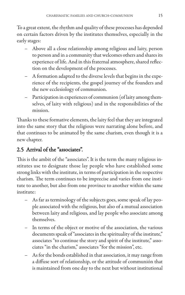To a great extent, the rhythm and quality of these processes has depended on certain factors driven by the institutes themselves, especially in the early stages:

- Above all a close relationship among religious and laity, person to person and in a community that welcomes others and shares its experience of life. And in this fraternal atmosphere, shared reflection on the development of the processes.
- A formation adapted to the diverse levels that begins in the experience of the recipients, the gospel journey of the founders and the new ecclesiology of communion.
- Participation in experiences of communion (of laity among themselves, of laity with religious) and in the responsibilities of the mission.

Thanks to these formative elements, the laity feel that they are integrated into the same story that the religious were narrating alone before, and that continues to be animated by the same charism, even though it is a new chapter.

#### 2.5 Arrival of the "associates".

This is the ambit of the "associates". It is the term the many religious institutes use to designate those lay people who have established some strong links with the institute, in terms of participation in the respective charism. The term continues to be imprecise and varies from one institute to another, but also from one province to another within the same institute:

- As far as terminology of the subjects goes, some speak of lay people associated with the religious, but also of a mutual association between laity and religious, and lay people who associate among themselves.
- In terms of the object or motive of the association, the various documents speak of "associates in the spirituality of the institute," associates "to continue the story and spirit of the institute," associates "in the charism," associates "for the mission", etc.
- As for the bonds established in that association, it may range from a diffuse sort of relationship, or the attitude of communión that is maintained from one day to the next but without institutional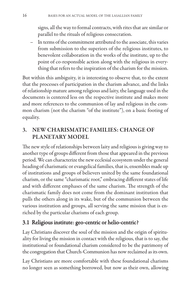signs, all the way to formal contracts, with rites that are similar or parallel to the rituals of religious consecration.

– In terms of the commitment attributed to the associate, this varies from submission to the superiors of the religious institutes, to benevolent collaboration in the works of the institute, up to the point of co-responsible action along with the religious in everything that refers to the inspiration of the charism for the mission.

But within this ambiguity, it is interesting to observe that, to the extent that the processes of participation in the charism advance, and the links of relationship mature among religious and laity, the language used in the documents is centered less on the respective institute and makes more and more references to the communion of lay and religious in the common charism (not the charism "of the institute"), on a basic footing of equality.

#### **3. NEW CHARISMATIC FAMILIES: CHANGE OF PLANETARY MODEL**

The new style of relationships between laity and religious is giving way to another type of groups different from those that appeared in the previous period. We can characterize the new ecclesial ecosystem under the general heading of charismatic or evangelical families, that is, ensembles made up of institutions and groups of believers united by the same foundational charism, or the same "charismatic root," embracing different states of life and with different emphases of the same charism. The strength of the charismatic family does not come from the dominant institution that pulls the others along in its wake, but of the communion between the various institution and groups, all serving the same mission that is enriched by the particular charisms of each group.

#### 3.1 Religious institute: geo-centric or helio-centric?

Lay Christians discover the soul of the mission and the origin of spirituality for living the mission in contact with the religious, that is to say, the institutional or foundational charism considered to be the patrimony of the congregation that Church-Communion has now reclaimed as its own.

Lay Christians are more comfortable with these foundational charisms no longer seen as something borrowed, but now as their own, allowing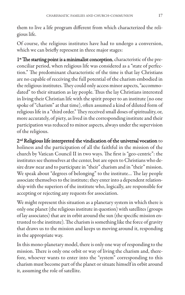them to live a life program different from which characterized the religious life.

Of course, the religious institutes have had to undergo a conversion, which we can briefly represent in three major stages:

1<sup>st</sup> The starting point is a minimalist conception, characteristic of the preconciliar period, when religious life was considered as a "state of perfection." The predominant characteristic of the time is that lay Christians are no capable of receiving the full potential of the charism embodied in the religious institutes. They could only access minor aspects, "accommodated" to their situation as lay people. Thus the lay Christians interested in living their Christian life with the spirit proper to an institute (no one spoke of "charism" at that time), often assumed a kind of diluted form of religious life in a "third order." They received small doses of spirituality, or, more accurately, of piety, as lived in the corresponding institute and their participation was reduced to minor aspects, always under the supervision of the religious.

2nd Religious life interpreted the vindication of the universal vocation to holiness and the participation of all the faithful in the mission of the church by Vatican Council II in two ways. The first is "geo-centric": the institutes see themselves at the center, but are open to Christians who desire draw near and to participate in "their" charism and in "their" mission. We speak about "degrees of belonging" to the institute… The lay people associate themselves to the institute; they enter into a dependent relationship with the superiors of the institute who, logically, are responsible for accepting or rejecting any requests for association.

We might represent this situation as a planetary system in which there is only one planet (the religious institute in question) with satellites (groups of lay associates) that are in orbit around the sun (the specific mission entrusted to the institute). The charism is something like the force of gravity that draws us to the mission and keeps us moving around it, responding in the appropriate way.

In this mono-planetary model, there is only one way of responding to the mission. There is only one orbit or way of living the charism and, therefore, whoever wants to enter into the "system" corresponding to this charism must become part of the planet or situate himself in orbit around it, assuming the role of satellite.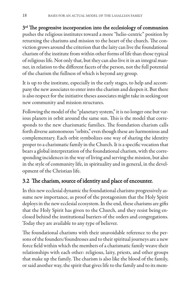3<sup>rd</sup> The progressive incorporation into the ecclesiology of communion pushes the religious institutes toward a more "helio-centric" position by returning the charisms and mission to the heart of the church. The conviction grows around the criterion that the laity can live the foundational charism of the institute from within other forms of life than those typical of religious life. Not only that, but they can also live it in an integral manner, in relation to the different facets of the person, not the full potential of the charism the fullness of which is beyond any group.

It is up to the institute, especially in the early stages, to help and accompany the new associates to enter into the charism and deepen it. But there is also respect for the initiative theses associates might take in seeking out new community and mission structures.

Following the model of the "planetary system," it is no longer one but various planets in orbit around the same sun. This is the model that corresponds to the new charismatic families. The foundation charism calls forth diverse autonomous "orbits," even though these are harmonious and complementary. Each orbit symbolizes one way of sharing the identity proper to a charismatic family in the Church. It is a specific vocation that bears a global interpretation of the foundational charism, with the corresponding incidences in the way of living and serving the mission, but also in the style of community life, in spirituality and in general, in the development of the Christian life.

#### 3.2 The charism, source of identity and place of encounter.

In this new ecclesial dynamic the foundational charisms progressively assume new importance, as proof of the protagonism that the Holy Spirit deploys in the new ecclesial ecosystem. In the end, these charisms are gifts that the Holy Spirit has given to the Church, and they resist being enclosed behind the institutional barriers of the orders and congregations. Today they are available to any type of believer.

The foundational charisms with their unavoidable reference to the persons of the founders/foundresses and to their spiritual journeys are a new force field within which the members of a charismatic family weave their relationships with each other: religious, laity, priests, and other groups that make up the family. The charism is also like the blood of the family, or said another way, the spirit that gives life to the family and to its mem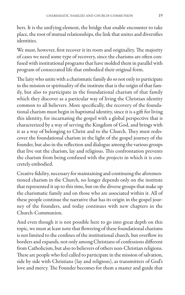bers. It is the unifying element, the bridge that enable encounter to take place, the root of mutual relationships, the link that unites and diversifies *identities* 

We must, however, first recover it its roots and originality. The majority of cases we need some type of recovery, since the charisms are often confused with institutional programs that have molded them in parallel with program of consecrated life that embodied their original form.

The laity who unite with a charismatic family do so not only to participate in the mission or spirituality of the institute that is the origin of that family, but also to participate in the foundational charism of that family which they discover as a particular way of living the Christian identity common to all believers. More specifically, the recovery of the foundational charism must begin in baptismal identity, since it is a gift for living this identity, for incarnating the gospel with a global perspective that is characterized by a way of serving the Kingdom of God, and brings with it as a way of belonging to Christ and to the Church. They must rediscover the foundational charism in the light of the gospel journey of the founder, but also in the reflection and dialogue among the various groups that live out the charism, lay and religious. This confrontation prevents the charism from being confused with the projects in which it is concretely embodied.

Creative fidelity, necessary for maintaining and continuing the aforementioned charism in the Church, no longer depends only on the institute that represented it up to this time, but on the diverse groups that make up the charismatic family and on those who are associated within it. All of these people continue the narrative that has its origin in the gospel journey of the founders, and today continues with new chapters in the Church-Communion.

And even though it is not possible here to go into great depth on this topic, we must at least note that flowering of these foundational charisms is not limited to the confines of the institutional church, but overflow its borders and expands, not only among Christians of confessions different from Catholicism, but also to believers of others non-Christian religions. These are people who feel called to participate in the mission of salvation, side by side with Christians (lay and religious), as transmitters of God's love and mercy. The Founder becomes for them a master and guide that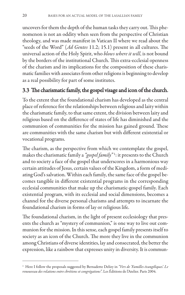uncovers for them the depth of the human tasks they carry out. This phenomenon is not an oddity when seen from the perspective of Christian theology, and was made manifest in Vatican II where we read about the "seeds of the Word" (*Ad Gentes* 11.2; 15.1) present in all cultures. The universal action of the Holy Spirit, who *blows where it will*, is not bound by the borders of the institutional Church. This extra-ecclesial openness of the charism and its implications for the composition of these charismatic families with associates from other religions is beginning to develop as a real possibility for part of some institutes.

#### 3.3 The charismatic family, the gospel visage and icon of the church.

To the extent that the foundational charism has developed as the central place of reference for the relationships between religious and laity within the charismatic family, to that same extent, the division between laity and religious based on the difference of states of life has diminished and the communion of communities for the mission has gained ground. These are communities with the same charism but with different existential or vocational programs.

The charism, as the perspective from which we contemplate the gospel, makes the charismatic family a *"gospel family"* 1: it presents to the Church and to society a face of the gospel that underscores in a harmonious way certain attitudes of Jesus, certain values of the Kingdom, a form of mediating God's salvation. Within each family, the same face of the gospel becomes tangible in different existential programs in the corresponding ecclesial communities that make up the charismatic-gospel family. Each existential program, with its ecclesial and social dimensions, becomes a channel for the diverse personal charisms and attempts to incarnate the foundational charism in forms of lay or religious life.

The foundational charism, in the light of present ecclesiology that presents the church as "mystery of communion," is one way to live out communion for the mission. In this sense, each gospel family presents itself to society as an icon of the Church. The more they live in the communion among Christians of diverse identities, lay and consecrated, the better the expression, like a rainbow that expresses unity in diversity. It is commun-

<sup>1</sup> Here I follow the proposals suggested by Bernadette Delizy in *"Vers de 'Familles évangéliques'. Le renouveau des relations entre chrétiens et congrégations"*. Les Éditions de l'Atelier. Paris 2004.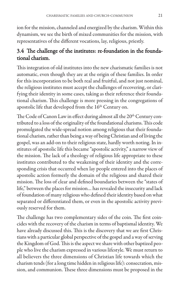ion for the mission, channeled and energized by the charism. Within this dynamism, we see the birth of mixed communities for the mission, with representatives of the different vocations, lay, religious, priestly.

#### 3.4 The challenge of the institutes: re-foundation in the foundational charism.

This integration of old institutes into the new charismatic families is not automatic, even though they are at the origin of these families. In order for this incorporation to be both real and fruitful, and not just nominal, the religious institutes must accept the challenges of recovering, or clarifying their identity in some cases, taking as their reference their foundational charism. This challenge is more pressing in the congregations of apostolic life that developed from the 16<sup>th</sup> Century on.

The Code of Canon Law in effect during almost all the 20<sup>th</sup> Century contributed to a loss of the originality of the foundational charisms. This code promulgated the wide-spread notion among religious that their foundational charism, rather than being a way of being Christian and of living the gospel, was an add-on to their religious state, hardly worth noting. In institutes of apostolic life this became "apostolic activity," a narrow view of the mission. The lack of a theology of religious life appropriate to these institutes contributed to the weakening of their identity and the corresponding crisis that occurred when lay people entered into the places of apostolic action formerly the domain of the religious and shared their mission. The loss of clear and defined boundaries between the "states of life," between the places for mission… has revealed the insecurity and lack of foundation of many religious who defined their identity based on what separated or differentiated them, or even in the apostolic activity previously reserved for them.

The challenge has two complementary sides of the coin. The first coincides with the recovery of the charism in terms of baptismal identity. We have already discussed this. This is the discovery that we are first Christians with a particular global perspective of the gospel and a way of serving the Kingdom of God. This is the aspect we share with other baptized people who live the charism expressed in various lifestyle. We must return to all believers the three dimensions of Christian life towards which the charism tends (for a long time hidden in religious life): consecration, mission, and communion. These three dimensions must be proposed in the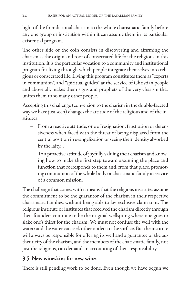light of the foundational charism to the whole charismatic family before any one group or institution within it can assume them in its particular existential program.

The other side of the coin consists in discovering and affirming the charism as the origin and root of consecrated life for the religious in this institution. It is the particular vocation to a community and institutional program for living through which people integrate themselves into religious or consecrated life. Living this program constitutes them as "experts in communion", and "spiritual guides" at the service of Christian people and above all, makes them signs and prophets of the very charism that unites them to so many other people.

Accepting this challenge (conversion to the charism in the double-faceted way we have just seen) changes the attitude of the religious and of the institutes:

- From a reactive attitude, one of resignation, frustration or defensiveness when faced with the threat of being displaced from the central position in evangelization or seeing their identity absorbed by the laity…
- To a proactive attitude of joyfully valuing their charism and knowing how to make the first step toward assuming the place and function that corresponds to them and, from that place, promoting communion of the whole body or charismatic family in service of a common mission.

The challenge that comes with it means that the religious institutes assume the commitment to be the guarantor of the charism in their respective charismatic families, without being able to lay exclusive claim to it. The religious institute or institutes that received the charism directly through their founders continue to be the original wellspring where one goes to slake one's thirst for the charism. We must not confuse the well with the water: and the water can seek other outlets to the surface. But the institute will always be responsible for offering its well and a guarantee of the authenticity of the charism, and the members of the charismatic family, not just the religious, can demand an accounting of their responsibility.

#### 3.5 New wineskins for new wine.

There is still pending work to be done. Even though we have begun we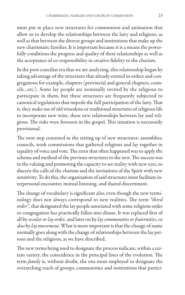must put in place new structures for communion and animation that allow us to develop the relationships between the laity and religious, as well as that between the diverse groups and institutions that make up the new charismatic families. It is important because it is a means the powerfully conditions the progress and quality of these relationships as well as the acceptance of co-responsibility in creative fidelity to the charism.

In the post-conciliar era that we are analyzing, this relationship began by taking advantage of the structures that already existed in orders and congregations for example, chapters (provincial and general chapters, councils…etc.). Some lay people are nominally invited by the religious to participate in them, but these structures are frequently subjected to canonical regulations that impede the full participation of the laity. That is, they make use of old wineskins or traditional structures of religious life to incorporate new wine, these new relationships between lay and religious. The risks were foreseen in the gospel. This situation is necessarily provisional.

The next step consisted in the setting up of new structures: assemblies, councils, work commissions that gathered religious and lay together in equality of voice and vote. The error that often happened was to apply the schema and method of the previous structures to the new. The success was in the valuing and promoting the capacity to see reality with new eyes, to discern the calls of the charism and the invitations of the Spirit with new sensitivity. To do this, the organization of said structures must facilitate interpersonal encounter, mutual listening, and shared discernment.

The change of vocabulary is significant also, even though the new terminology does not always correspond to new realities. The term *"third order"*, that designated the lay people associated with some religious order or congregation has practically fallen into disuse. It was replaced first of all by *secular or lay order*, and later on by *lay communities or fraternities*, or also by *lay movement*. What is more important is that the change of name normally goes along with the change of relationships between the lay persons and the religious, as we have described.

The new terms being used to designate the process indicate, within a certain variety, the coincidence in the principal lines of the evolution. The term *family* is, without doubt, the one most employed to designate the overarching reach of groups, communities and institutions that partici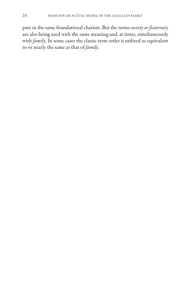pate in the same foundational charism. But the terms *society or fraternity* are also being used with the same meaning and, at times, simultaneously with *family*. In some cases the classic term order is utilized as equivalent to or nearly the same as that of *family*.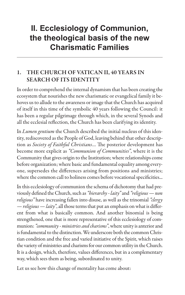### **II. Ecclesiology of Communion, the theological basis of the new Charismatic Families**

#### **1. THE CHURCH OF VATICAN II, 40 YEARS IN SEARCH OF ITS IDENTITY**

In order to comprehend the internal dynamism that has been creating the ecosystem that nourishes the new charismatic or evangelical family it behoves us to allude to the awareness or image that the Church has acquired of itself in this time of the symbolic 40 years following the Council: it has been a regular pilgrimage through which, in the several Synods and all the ecclesial reflection, the Church has been clarifying its identity.

In *Lumen gentium* the Church described the initial nucleus of this identity, rediscovered as the People of God, leaving behind that other description as *Society of Faithful Christians*… The posterior development has become more explicit as *"Communion of Communities"*, where it is the Community that gives origin to the Institution; where relationships come before organization; where basic and fundamental equality among everyone, supersedes the differences arising from positions and ministries; where the common call to holiness comes before vocational specificities...

In this ecclesiology of communion the schema of dichotomy that had previously defined the Church, such as *"hierarchy - laity"*and *"religious — non religious"* have increasing fallen into disuse, as well as the trinomial *"clergy — religious — laity"*, all those terms that put an emphasis on what is different from what is basically common. And another binomial is being strengthened, one that is more representative of this ecclesiology of communion: *"community - ministries and charisms"*, where unity is anterior and is fundamental to the distinction. We underscore both the common Christian condition and the free and varied initiative of the Spirit, which raises the variety of ministries and charisms for our common utility in the Church. It is a design, which, therefore, values differences, but in a complementary way, which sees them as being, subordinated to unity.

Let us see how this change of mentality has come about: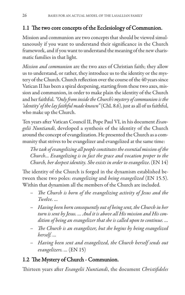#### 1.1 The two core concepts of the Ecclesiology of Communion.

Mission and communion are two concepts that should be viewed simultaneously if you want to understand their significance in the Church framework, and if you want to understand the meaning of the new charismatic families in that light.

*Mission and communion* are the two axes of Christian faith; they allow us to understand, or rather, they introduce us to the identity or the mystery of the Church. Church reflection over the course of the 40 years since Vatican II has been a spiral deepening, starting from these two axes, mission and communion, in order to make plain the identity of the Church and her faithful. *"Only from inside the Church's mystery of communion is the 'identity' of the lay faithful made known"*(ChL 8.6), just as all of us faithful, who make up the Church.

Ten years after Vatican Council II, Pope Paul VI, in his document *Evangelii Nuntiandi*, developed a synthesis of the identity of the Church around the concept of evangelization. He presented the Church as a community that strives to be evangelizer and evangelized at the same time:

*The task of evangelizing all people constitutes the essential mission of the Church... Evangelizing is in fact the grace and vocation proper to the Church, her deepest identity. She exists in order to evangelize*. (EN 14)

The identity of the Church is forged in the dynamism established between these two poles: *evangelizing* and *being evangelized* (EN 15.5). Within that dynamism all the members of the Church are included.

- *The Church is born of the evangelizing activity of Jesus and the Twelve. …*
- *Having been born consequently out of being sent, the Church in her turn is sent by Jesus. … And it is above all His mission and His condition of being an evangelizer that she is called upon to continue. …*
- *The Church is an evangelizer, but she begins by being evangelized herself. …*
- *Having been sent and evangelized, the Church herself sends out evangelizers. …* (EN 15)

#### 1.2 The Mystery of Church - Communion.

Thirteen years after *Evangelii Nuntiandi*, the document *Christifideles*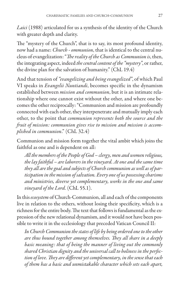*Laici* (1988) articulated for us a synthesis of the identity of the Church with greater depth and clarity.

The "mystery of the Church", that is to say, its most profound identity, now had a name: *Church - ommunion*, that is identical to the central nucleus of evangelization: "*The reality of the Church as Communion is*, then, the integrating aspect, indeed *the central content of the "mystery"*, or rather, the divine plan for the salvation of humanity." (ChL 19.4)

And that tension of *"evangelizing and being evangelized"*, of which Paul VI speaks in *Evangelii Nuntiandi*, becomes specific in the dynamism established between *mission and communion*, but it is an intimate relationship where one cannot exist without the other, and where one becomes the other reciprocally: "Communion and mission are profoundly connected with each other, they interpenetrate and mutually imply each other, to the point that *communion represents both the source and the fruit of mission: communion gives rise to mission and mission is accomplished in communion*." (ChL 32.4)

Communion and mission form together the vital ambit which joins the faithful as one and is dependent on all:

*All the members of the People of God – clergy, men and women religious, the lay faithful – are laborers in the vineyard. At one and the same time they all are the goal and subjects of Church communion as well as of participation in the mission of salvation. Every one of us possessing charisms and ministries, diverse yet complementary, works in the one and same vineyard of the Lord.* (ChL 55.1).

In this *ecosystem* of Church-Communion, all and each of the components live in relation to the others, without losing their specificity, which is a richness for the entire body. The text that follows is fundamental as the expression of the new relational dynamism, and it would not have been possible to write it in the ecclesiology that preceded Vatican Council II:

*In Church Communion the states of life by being ordered one to the other are thus bound together among themselves. They all share in a deeply basic meaning: that of being the manner of living out the commonly shared Christian dignity and the universal call to holiness in the perfection of love. They are different yet complementary, in the sense that each of them has a basic and unmistakable character which sets each apart,*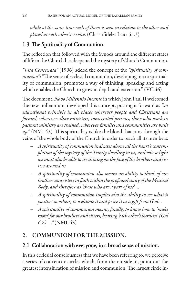*while at the same time each of them is seen in relation to the other and placed at each other's service*. (Christifideles Laici 55.3)

#### 1.3 The Spirituality of Communion.

The reflection that followed with the Synods around the different states of life in the Church has deepened the mystery of Church Communion.

*"Vita Consecrata"* (1996) added the concept of the *"spirituality of communion"*: "The sense of ecclesial communion, developing into a spirituality of communion, promotes a way of thinking, speaking and acting which enables the Church to grow in depth and extension." (VC 46)

The document, *Novo Millennio Ineunte* in which John Paul II welcomed the new millennium, developed this concept, putting it forward as *"an educational principle in all places wherever people and Christians are formed, wherever altar ministers, consecrated persons, those who work in pastoral ministry are trained, wherever families and communities are built up."* (NMI 43). This spirituality is like the blood that runs through the veins of the whole body of the Church in order to reach all its members.

- *A spirituality of communion indicates above all the heart's contemplation of the mystery of the Trinity dwelling in us, and whose light we must also be able to see shining on the face of the brothers and sisters around us.*
- *A spirituality of communion also means an ability to think of our brothers and sisters in faith within the profound unity of the Mystical Body, and therefore as 'those who are a part of me' ...*
- *A spirituality of communion implies also the ability to see what is positive in others, to welcome it and prize it as a gift from God...*
- *A spirituality of communion means, finally, to know how to 'make room' for our brothers and sisters, bearing 'each other's burdens' (Gal 6.2). …"* (NMI, 43)

#### **2. COMMUNION FOR THE MISSION.**

#### 2.1 Collaboration with everyone, in a broad sense of mission.

In this ecclesial consciousness that we have been referring to, we perceive a series of concentric circles which, from the outside in, point out the greatest intensification of mission and communion. The largest circle in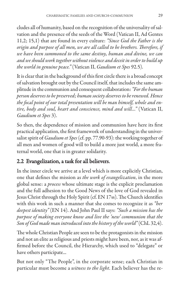cludes all of humanity, based on the recognition of the universality of salvation and the presence of the seeds of the Word (Vatican II, Ad Gentes 11,2; 15,1) that are found in every culture: *"Since God the Father is the origin and purpose of all men, we are all called to be brothers. Therefore, if we have been summoned to the same destiny, human and divine, we can and we should work together without violence and deceit in order to build up the world in genuine peace."* (Vatican II, *Gaudium et Spes* 92.5).

It is clear that in the background of this first circle there is a broad concept of salvation brought out by the Council itself, that includes the same amplitude in the communion and consequent collaboration: *"For the human person deserves to be preserved; human society deserves to be renewed. Hence the focal point of our total presentation will be man himself, whole and entire, body and soul, heart and conscience, mind and will..."* (Vatican II, *Gaudium et Spes* 3).

So then, the dependence of mission and communion have here its first practical application, the first framework of understanding in the universalist spirit of *Gaudium et Spes*(cf. pp. 77.90-93): the working together of all men and women of good will to build a more just world, a more fraternal world, one that is in greater solidarity.

#### 2.2 Evangelization, a task for all believers.

In the inner circle we arrive at a level which is more explicitly Christian, one that defines the mission as *the work of evangelization*, in the more global sense: a *process* whose ultimate stage is the explicit proclamation and the full adhesion to the Good News of the love of God revealed in Jesus Christ through the Holy Spirit (cf. EN 17ss). The Church identifies with this work in such a manner that she comes to recognize it as *"her deepest identity"* (EN 14). And John Paul II says: *"Such a mission has the purpose of making everyone know and live the 'new' communion that the Son of God made man introduced into the history of the world"*(ChL 32,4).

The whole Christian People are seen to be the protagonists in the mission and not an elite as religious and priests might have been, nor, as it was affirmed before the Council, the Hierarchy, which used to "delegate" or have others participate...

But not only "The People", in the corporate sense; each Christian in particular must become a *witness to the light*. Each believer has the re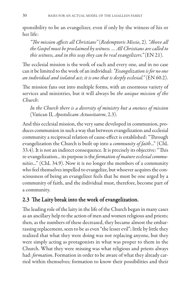sponsibility to be an evangelizer, even if only by the witness of his or her life:

*"The mission affects all Christians"* (*Redemptoris Missio*, 2). *"Above all the Gospel must be proclaimed by witness. ... All Christians are called to this witness, and in this way they can be real evangelizers."* (EN 21).

The ecclesial mission is the work of each and every one, and in no case can it be limited to the work of an individual: *"Evangelization is for no one an individual and isolated act; it is one that is deeply ecclesial."* (EN 60.2).

The mission fans out into multiple forms, with an enormous variety of services and ministries, but it will always be *the unique mission of the Church*:

*In the Church there is a diversity of ministry but a oneness of mission* (Vatican II, *Apostolicam Actuositatem*, 2.3).

And this ecclesial mission, the very same developed in communion, produces communion in such a way that between evangelization and ecclesial community a reciprocal relation of cause-effect is established: "Through evangelization the Church is built up into a *community of faith*..." (ChL 33.4). It is not an indirect consequence. It is precisely its objective: "This re-evangelization... its purpose is the *formation of mature ecclesial communities*..." (ChL 34.9). Now it is no longer the members of a community who feel themselves impelled to evangelize, but whoever acquires the consciousness of being an evangelizer feels that he must be one urged by a community of faith, and the individual must, therefore, become part of a community.

#### 2.3 The Laity break into the work of evangelization.

The leading role of the laity in the life of the Church began in many cases as an ancillary help to the action of men and women religious and priests; then, as the numbers of these decreased, they became almost the embarrassing replacement, seen to be as even "the lesser evil"; little by little they realized that what they were doing was not replacing anyone, but they were simply acting as protagonists in what was proper to them in the Church. What they were missing was what religious and priests always had: *formation*. Formation in order to be aware of what they already carried within themselves; formation to know their possibilities and their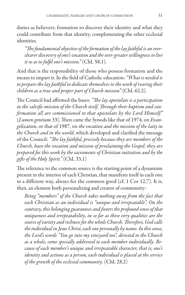duties as believers; formation to discover their identity and what they could contribute from that identity, complementing the other ecclesial identities.

*"The fundamental objective of the formation of the lay faithful is an everclearer discovery of one's vocation and the ever-greater willingness to live it so as to fulfil one's mission."* (ChL 58,1).

And that is the responsibility of those who possess formation and the means to impart it. In the field of Catholic education: *"What is needed is to prepare the lay faithful to dedicate themselves to the work of rearing their children as a true and proper part of Church mission"* (ChL 62.2).

The Council had affirmed the bases: *"The lay apostolate is a participation in the salvific mission of the Church itself. Through their baptism and confirmation all are commissioned to that apostolate by the Lord Himself."* (*Lumen gentium* 33). Then came the Synods like that of 1974, on *Evangelization*, or that of 1987, on *the vocation and the mission of the laity in the Church and in the world*, which developed and clarified the message of the Council: *"The lay faithful, precisely because they are members of the Church, have the vocation and mission of proclaiming the Gospel: they are prepared for this work by the sacraments of Christian initiation and by the gifts of the Holy Spirit."* (ChL 33,1)

The reference to the common source is the starting point of a dynamism present in the interior of each Christian, that manifests itself in each one in a different way, always for the common good (cf. 1 Cor 12,7). It is, then, an element both personalizing and creator of community:

*Being "members" of the Church takes nothing away from the fact that each Christian as an individual is "unique and irrepeatable". On the contrary, this belonging guarantees and fosters the profound sense of that uniqueness and irrepeatability, in so far as these very qualities are the source of variety and richness for the whole Church. Therefore, God calls the individual in Jesus Christ, each one personally by name. In this sense, the Lord's words "You go into my vineyard too", directed to the Church as a whole, come specially addressed to each member individually. Because of each member's unique and irrepeatable character, that is, one's identity and actions as a person, each individual is placed at the service of the growth of the ecclesial community.* (ChL 28,2)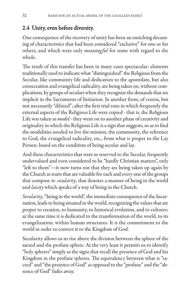#### 2.4 Unity, even before diversity.

One consequence of the recovery of unity has been an enriching decanting of characteristics that had been considered "exclusive" for one or for others, and which were only *meaning ful* for some with regard to the whole.

The result of this transfer has been in many cases spectacular: elements traditionally used to indicate what "distinguished" the Religious from the Secular, like community life and dedication to the apostolate, but also consecration and evangelical radicality, are being taken on, without complications, by groups of seculars when they recognize the demands that are implicit in the Sacraments of Initiation. In another form, of course, but not necessarily "diluted"; after the first trial runs in which frequently the external aspects of the Religious Life were copied - that is, the Religious Life was taken as *model* - they went on to another phase of creativity and originality in which the Religious Life is a sign that suggests, so as to find the modalities needed to live the mission, the community, the reference to God, the evangelical radicality, etc., from what is proper to the Lay Person: based on the condition of being secular and lay.

And these characteristics that were so reserved to the Secular, frequently undervalued and even considered to be "hardly Christian matters", only "left to them"—it now turns out that they are being taken up again by the Church as traits that are valuable for each and every one of the groups that compose it: *secularity*, that denotes a manner of being in the world and *laicity* which speaks of a way of being in the Church.

*Secularity*, "being in the world", the immediate consequence of the Incarnation, leads to being situated in the world, recognizing the values that are proper to creation, to humanity, to historical evolution, and to cultures; at the same time it is dedicated to the transformation of the world, to its evangelization, within human structures. It is the commitment to the world in order to convert it to the Kingdom of God.

Secularity allows us to rise above the division between the sphere of the sacred and the profane sphere. At the very least it permits us to identify "holy spheres" simply as the signs that recall the presence of God and his Kingdom in the profane spheres. The equivalency between what is "sacred" and "the presence of God" as opposed to the "profane" and the "absence of God" fades away.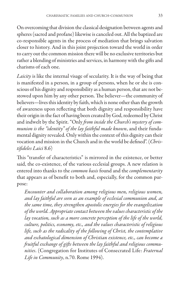On overcoming that division the classical designation between agents and spheres (sacred and profane) likewise is canceled out. All the baptized are co-responsible agents in the process of mediation that brings salvation closer to history. And in this joint projection toward the world in order to carry out the common mission there will be no exclusive territories but rather a blending of ministries and services, in harmony with the gifts and charisms of each one.

*Laicity* is like the internal visage of secularity. It is the way of being that is manifested in a person, in a group of persons, when he or she is conscious of his dignity and responsibility as a human person, that are not bestowed upon him by any other person. The believer—the community of believers—lives this identity by faith, which is none other than the growth of awareness upon reflecting that both dignity and responsibility have their origin in the fact of having been created by God, redeemed by Christ and indwelt by the Spirit. "Only *from inside the Church's mystery of communion is the "identity" of the lay faithful made known*, and their fundamental dignity revealed. Only within the context of this dignity can their vocation and mission in the Church and in the world be defined". (*Christifideles Laici* 8.6)

This "transfer of characteristics" is mirrored in the existence, or better said, the co-existence, of the various ecclesial groups. A new relation is entered into thanks to the *common basis* found and the *complementarity* that appears as of benefit to both and, especially, for the common purpose:

*Encounter and collaboration among religious men, religious women, and lay faithful are seen as an example of ecclesial communion and, at the same time, they strengthen apostolic energies for the evangelization of the world. Appropriate contact between the values characteristic of the lay vocation, such as a more concrete perception of the life of the world, culture, politics, economy, etc., and the values characteristic of religious life, such as the radicality of the following of Christ, the contemplative and eschatological dimension of Christian existence, etc., can become a fruitful exchange of gifts between the lay faithful and religious communities*. (Congregation for Institutes of Consecrated Life: *Fraternal Life in Community*, n.70. Rome 1994).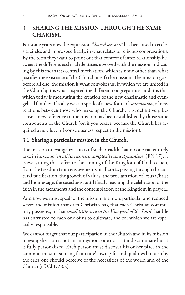#### **3. SHARING THE MISSION THROUGH THE SAME CHARISM.**

For some years now the expression *"shared mission"* has been used in ecclesial circles and, more specifically, in what relates to religious congregations. By the term they want to point out that context of inter-relationship between the different ecclesial identities involved with the mission, indicating by this means its central motivation, which is none other than what justifies the existence of the Church itself: the mission. The mission goes before all else, the mission is what convokes us, by which we are united in the Church; it is what inspired the different congregations, and it is that which today is motivating the creation of the new charismatic and evangelical families. If today we can speak of a new form of *communion*, of new relations between those who make up the Church, it is, definitively, because a new reference to the mission has been established by those same components of the Church (or, if you prefer, because the Church has acquired a new level of consciousness respect to the mission).

#### 3.1 Sharing a particular mission in the Church.

The mission or evangelization is of such breadth that no one can entirely take in its scope *"in all its richness, complexity and dynamism"* (EN 17): it is everything that refers to the coming of the Kingdom of God to men, from the freedom from enslavements of all sorts, passing through the cultural purification, the growth of values, the proclamation of Jesus Christ and his message, the catechesis, until finally reaching the celebration of the faith in the sacraments and the contemplation of the Kingdom in prayer...

And now we must speak of the mission in a more particular and reduced sense: the mission that each Christian has, that each Christian community possesses, in that *small little acre in the Vineyard of the Lord* that He has entrusted to each one of us to cultivate, and for which we are especially responsible.

We cannot forget that our participation in the Church and in its mission of evangelization is not an anonymous one nor is it indiscriminate but it is fully personalized. Each person must discover his or her place in the common mission starting from one's own gifts and qualities but also by the cries one should perceive of the necessities of the world and of the Church (cf. ChL 28.2).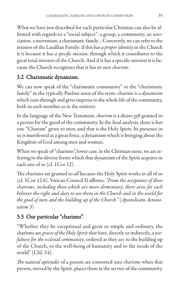What we have just described for each particular Christian can also be affirmed with regards to a "social subject": a group, a community, an association, a movement, a charismatic family… Concretely, we can refer to the mission of the Lasallian Family: if this has *a proper identity*in the Church it is because it has *a specific mission*, through which it contributes to the great total mission of the Church. And if it has a specific mission it is because the Church recognizes that it has *its own charism*.

#### 3.2 Charismatic dynamism.

We can now speak of the "charismatic community" or the "charismatic family" in the typically Pauline sense of the term: charism is a *dynamism* which runs through and gives impetus to the whole life of the community, both in each member as in the entirety.

In the language of the New Testament, *charism* is a *divine gift* granted to a person for the good of the community. In the final analysis, there is but one "Charism" given to men, and that is the Holy Spirit. Its presence in us is manifested as a great force, a dynamism which is bringing about the Kingdom of God among men and women.

When we speak of "charisms", lower case, in the Christian sense, we are referring to the diverse forms which that dynamism of the Spirit acquires in each one of us (cf. 1Cor 12).

The charisms are granted to *all* because the Holy Spirit works in all of us (cf. 1Cor 12.6). Vatican Council II affirms: *"From the acceptance of these charisms, including those which are more elementary, there arise for each believer the right and duty to use them in the Church and in the world for the good of men and the building up of the Church."* (*Apostolicam Actuositatem* 3)

#### 3.3 Our particular "charisms".

"Whether they be exceptional and great or simple and ordinary, the charisms are *graces of the Holy Spirit that have*, directly or indirectly, *a usefulness for the ecclesial community*, ordered as they are to the building up of the Church, to the well-being of humanity and to the needs of the world" (ChL 24).

*The natural aptitudes* of a person are converted into *charisms* when that person, moved by the Spirit, places them at the service of the community.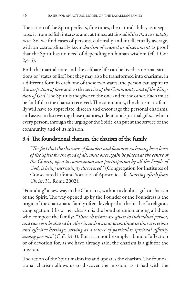The action of the Spirit perfects, fine tunes, the natural ability as it separates it from selfish interests and, at times, attains *abilities that are totally new*. So, we find cases of persons, culturally and intellectually average, with an extraordinarily keen *charism of counsel or discernment* as proof that the Spirit has no need of depending on human wisdom (cf. 1 Cor  $2,4-5)$ .

Both the marital state and the celibate life can be lived as normal situations or "states of life", but they may also be transformed into charisms: in a different form in each one of these two states, the person can aspire to the *perfection of love*and to the *service of the Community and of the Kingdom of God*. The Spirit is the giver to the one and to the other. Each must be faithful to the charism received. The community, the charismatic family will have to appreciate, discern and encourage the personal charisms, and assist in discovering those qualities, talents and spiritual gifts… which every person, through the urging of the Spirit, can put at the service of the community and of its mission.

### 3.4 The foundational charism, the charism of the family.

*"The fact that the charisms of founders and foundresses, having been born of the Spirit for the good of all, must once again be placed at the centre of the Church, open to communion and participation by all the People of God, is being increasingly discovered."* (Congregation for Institutes of Consecrated Life and Societies of Apostolic Life, *Starting afresh from Christ*, 31. Rome 2002).

"Founding" a new way in the Church is, without a doubt, a gift or charism of the Spirit. The way opened up by the Founder or the Foundress is the origin of the charismatic family often developed at the birth of a religious congregation. His or her charism is the bond of union among all those who compose the family: *"These charisms are given to individual person, and can even be shared by other in such ways as to continue in time a precious and effective heritage, serving as a source of particular spiritual affinity among persons."* (ChL 24.3). But it cannot be simply a bond of affection or of devotion for, as we have already said, the charism is a gift for the mission.

The action of the Spirit maintains and updates the charism. The foundational charism allows us to discover the mission, as it had with the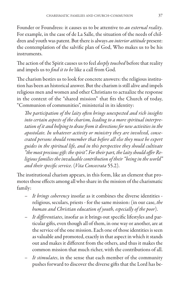Founder or Foundress: it causes us to be attentive to *an external reality*. For example, in the case of de La Salle, the situation of the needs of children and youth was patent. But there is always *an interior attitude* present: the contemplation of the salvific plan of God, Who makes us to be his instruments.

The action of the Spirit causes us to feel *deeply touched* before that reality and impels us to *find it to be* like a call from God.

The charism bestirs us to look for concrete answers: the religious institution has been an historical answer. But the charism is still alive and impels religious men and women and other Christians to actualize the response in the context of the "shared mission" that fits the Church of today, "Communion of communities", ministerial in its identity:

*The participation of the laity often brings unexpected and rich insights into certain aspects of the charism, leading to a more spiritual interpretation of it and helping to draw from it directions for new activities in the apostolate. In whatever activity or ministry they are involved, consecrated persons should remember that before all else they must be expert guides in the spiritual life, and in this perspective they should cultivate "the most precious gift: the spirit". For their part, the laity should offer Religious families the invaluable contribution of their "being in the world" and their specific service.* (*Vita Consecrata* 55.2).

The institutional charism appears, in this form, like an element that promotes those effects among all who share in the mission of the charismatic family:

- *It brings coherency* insofar as it combines the diverse identities religious, seculars, priests - for the same mission: (in our case, *the human and Christian education of youth, especially of the poor*).
- *It differentiates*, insofar as it brings out specific lifestyles and particular gifts, even though all of them, in one way or another, are at the service of the one mission. Each one of those identities is seen as valuable and promoted, exactly in that aspect in which it stands out and makes it different from the others, and thus it makes the common mission that much richer, with the contributions of all.
- It stimulates, in the sense that each member of the community pushes forward to discover the diverse gifts that the Lord has be-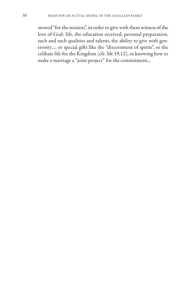stowed "for the mission", in order to give with them witness of the love of God: life, the education received, personal preparation, such and such qualities and talents, the ability to give with generosity…; or special gifts like the "discernment of spirits", or the celibate life for the Kingdom (cfr. Mt 19,12), or knowing how to make a marriage a "joint project" for the commitment...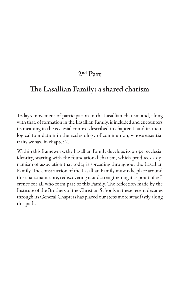# **2nd Part**

# **The Lasallian Family: a shared charism**

Today's movement of participation in the Lasallian charism and, along with that, of formation in the Lasallian Family, is included and encounters its meaning in the ecclesial context described in chapter 1, and its theological foundation in the ecclesiology of communion, whose essential traits we saw in chapter 2.

Within this framework, the Lasallian Family develops its proper ecclesial identity, starting with the foundational charism, which produces a dynamism of association that today is spreading throughout the Lasallian Family. The construction of the Lasallian Family must take place around this charismatic core, rediscovering it and strengthening it as point of reference for all who form part of this Family. The reflection made by the Institute of the Brothers of the Christian Schools in these recent decades through its General Chapters has placed our steps more steadfastly along this path.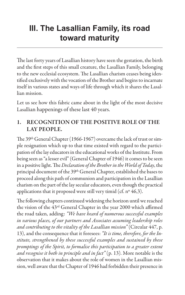# **III. The Lasallian Family, its road toward maturity**

The last forty years of Lasallian history have seen the gestation, the birth and the first steps of this small creature, the Lasallian Family, belonging to the new ecclesial ecosystem. The Lasallian charism ceases being identified exclusively with the vocation of the Brother and begins to incarnate itself in various states and ways of life through which it shares the Lasallian mission.

Let us see how this fabric came about in the light of the most decisive Lasallian happenings of these last 40 years.

#### **1. RECOGNITION OF THE POSITIVE ROLE OF THE LAY PEOPLE.**

The 39<sup>th</sup> General Chapter (1966-1967) overcame the lack of trust or simple resignation which up to that time existed with regard to the participation of the lay educators in the educational works of the Institute. From being seen as "a lesser evil" (General Chapter of 1946) it comes to be seen in a positive light. The *Declaration of the Brother in the World of Today*, the principal document of the 39<sup>th</sup> General Chapter, established the bases to proceed along this path of communion and participation in the Lasallian charism on the part of the lay secular educators, even though the practical applications that it proposed were still very timid (cf. nº 46,3).

The following chapters continued widening the horizon until we reached the vision of the 43rd General Chapter in the year 2000 which affirmed the road taken, adding: *"We have heard of numerous successful examples in various places, of our partners and Associates assuming leadership roles and contributing to the vitality of the Lasallian mission"* (Circular 447, p. 13), and the consequence that it foresees: *"It is time, therefore, for the Institute, strengthened by these successful examples and sustained by these promptings of the Spirit, to formalise this participation to a greater extent and recognise it both in principle and in fact"* (p. 13). More notable is the observation that it makes about the role of women in the Lasallian mission, well aware that the Chapter of 1946 had forbidden their presence in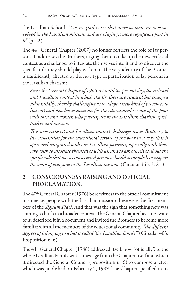the Lasallian School: *"We are glad to see that more women are now involved in the Lasallian mission, and are playing a more significant part in it"* (p. 22).

The 44th General Chapter (2007) no longer restricts the role of lay persons. It addresses the Brothers, urging them to take up the new ecclesial context as a challenge, to integrate themselves into it and to discover the specific role they should play within it. The very identity of the Brother is significantly affected by the new type of participation of lay persons in the Lasallian charism:

*Since the General Chapter of 1966-67 until the present day, the ecclesial and Lasallian context in which the Brothers are situated has changed substantially, thereby challenging us to adopt a new kind of presence: to live out and develop association for the educational service of the poor with men and women who participate in the Lasallian charism, spirituality and mission.*

*This new ecclesial and Lasallian context challenges us, as Brothers, to live association for the educational service of the poor in a way that is open and integrated with our Lasallian partners, especially with those who wish to associate themselves with us, and to ask ourselves about the specific role that we, as consecrated persons, should accomplish to support the work of everyone in the Lasallian mission*. (Circular 455, 3, 2.1)

#### **2. CONSCIOUSNESS RAISING AND OFFICIAL PROCLAMATION.**

The  $40<sup>th</sup>$  General Chapter (1976) bore witness to the official commitment of some lay people with the Lasallian mission: these were the first members of the *Signum Fidei*. And that was the sign that something new was coming to birth in a broader context. The General Chapter became aware of it, described it in a document and invited the Brothers to become more familiar with all the members of the educational community, *"the different degrees of belonging to what is called 'the Lasallian family'"* (Circular 403, Proposition n. 6).

The 41<sup>st</sup> General Chapter (1986) addressed itself, now "officially", to the whole Lasallian Family with a message from the Chapter itself and which it directed the General Council (proposition nº 6) to compose a letter which was published on February 2, 1989. The Chapter specified in its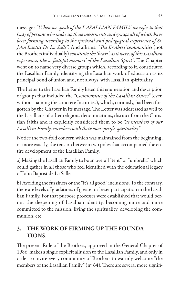message: *"When we speak of the LASALLIAN FAMILY we refer to that body of persons who make up those movements and groups all of which have been forming according to the spiritual and pedagogical experience of St. John Baptist De La Salle"*. And affirms: *"The Brothers' communities* (not the Brothers individually) *constitute the 'heart', as it were, of this Lasallian experience, like a 'faithful memory' of the Lasallian Spirit"*. The Chapter went on to name very diverse groups which, according to it, constituted the Lasallian Family, identifying the Lasallian work of education as its principal bond of union and, not always, with Lasallian spirituality.

The Letter to the Lasallian Family listed this enumeration and description of groups that included the *"Communities of the Lasallian Sisters"* (even without naming the concrete Institutes), which, curiously, had been forgotten by the Chapter in its message. The Letter was addressed as well to the Lasallians of other religious denominations, distinct from the Christian faiths and it explicitly considered them to be *"as members of our Lasallian Family, members with their own specific spirituality"*.

Notice the two-fold concern which was maintained from the beginning, or more exactly, the tension between two poles that accompanied the entire development of the Lasallian Family:

a) Making the Lasallian Family to be an overall "tent" or "umbrella" which could gather in all those who feel identified with the educational legacy of John Baptist de La Salle.

b) Avoiding the fuzziness or the "it's all good" inclusions. To the contrary, there are levels of gradations of greater or lesser participation in the Lasallian Family. For that purpose processes were established that would permit the deepening of Lasallian identity, becoming more and more committed to the mission, living the spirituality, developing the communion, etc.

#### **3. THE WORK OF FIRMING UP THE FOUNDA-TIONS.**

The present Rule of the Brothers, approved in the General Chapter of 1986, makes a single explicit allusion to the Lasallian Family, and only in order to invite every community of Brothers to warmly welcome "the members of the Lasallian Family" (nº 64). There are several more signifi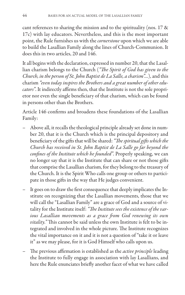cant references to sharing the mission and to the spirituality (nos. 17 & 17c) with lay educators. Nevertheless, and this is the most important point, the Rule furnishes us with the *cornerstone* upon which we are able to build the Lasallian Family along the lines of Church-Communion. It does this in two articles, 20 and 146.

It all begins with the declaration, expressed in number 20, that the Lasallian charism belongs to the Church (*"The Spirit of God has given to the Church, in the person of St. John Baptist de La Salle, a charism"…*), and this charism *"even today inspires the Brothers and a great number of other educators"*. It indirectly affirms then, that the Institute is not the sole proprietor nor even the single beneficiary of that charism, which can be found in persons other than the Brothers.

Article 146 confirms and broadens these foundations of the Lasallian Family:

- Above all, it recalls the theological principle already set done in number 20, that it is the Church which is the principal depository and beneficiary of the gifts that will be shared: *"The spiritual gifts which the Church has received in St. John Baptist de La Salle go far beyond the confines of the Institute which he founded"*. Properly speaking, we can no longer say that it is the Institute that can share or not those gifts that comprise the Lasallian charism, for they belong to the treasury of the Church. It is the Spirit Who calls one group or others to participate in those gifts in the way that He judges convenient.
- It goes on to draw the first consequence that deeply implicates the Institute on recognizing that the Lasallian movements, those that we will call the "Lasallian Family" are a grace of God and a source of vitality for the Institute itself: *"The Institute sees the existence of the various Lasallian movements as a grace from God renewing its own vitality."* This cannot be said unless the own Institute is felt to be integrated and involved in the whole picture. The Institute recognizes the vital importance on it and it is not a question of "take it or leave it" as we may please, for it is God Himself who calls upon us.
- The previous affirmation is established as the *active principle* leading the Institute to fully engage in association with lay Lasallians, and here the Rule enunciates briefly another facet of what we have called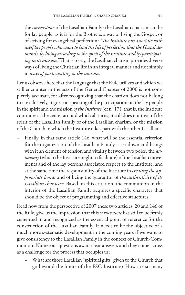the *cornerstone* of the Lasallian Family: the Lasallian charism can be for lay people, as it is for the Brothers, a way of living the Gospel, or of striving for evangelical perfection: *"The Institute can associate with itself lay people who want to lead the life of perfection that the Gospel demands, by living according to the spirit of the Institute and by participating in its mission."*That is to say, the Lasallian charism provides diverse ways of living the Christian life in an integral manner and not simply in *ways of participating in the mission*.

Let us observe here that the language that the Rule utilizes and which we still encounter in the acts of the General Chapter of 2000 is not completely accurate, for after recognizing that the charism does not belong to it exclusively, it goes on speaking of the participation on the lay people in the spirit and the mission *of the Institute* (cf nº 17); that is, the Institute continues as the center around which all turns; it still does not treat of the spirit of the Lasallian Family or of the Lasallian charism, or the mission of the Church in which the Institute takes part with the other Lasallians.

– Finally, in that same article 146, what will be the essential criterion for the organization of the Lasallian Family is set down and brings with it an element of tension and vitality between two poles: the *autonomy*(which the Institute ought to facilitate) of the Lasallian movements and of the lay persons associated respect to the Institute, and at the same time the responsibility of the Institute in *creating the appropriate bonds* and of being the guarantor of *the authenticity of its Lasallian character*. Based on this criterion, the communion in the interior of the Lasallian Family acquires a specific character that should be the object of programming and effective structures.

Read now from the perspective of 2007 these two articles, 20 and 146 of the Rule, give us the impression that this *cornerstone* has still to be firmly cemented in and recognized as the essential point of reference for the construction of the Lasallian Family. It needs to be the objective of a much more systematic development in the coming years if we want to give consistency to the Lasallian Family in the context of Church-Communion. Numerous questions await clear answers and they come across as a challenge for the process that occupies us:

– What are those Lasallian "spiritual gifts" given to the Church that go beyond the limits of the FSC Institute? How are so many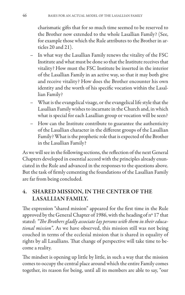charismatic gifts that for so much time seemed to be reserved to the Brother now extended to the whole Lasallian Family? (See, for example those which the Rule attributes to the Brother in articles 20 and 21).

- In what way the Lasallian Family renews the vitality of the FSC Institute and what must be done so that the Institute receives that vitality? How must the FSC Institute be inserted in the interior of the Lasallian Family in an active way, so that it may both give and receive vitality? How does the Brother encounter his own identity and the worth of his specific vocation within the Lasallian Family?
- What is the evangelical visage, or the evangelical life style that the Lasallian Family wishes to incarnate in the Church and, in which what is special for each Lasallian group or vocation will be seen?
- How can the Institute contribute to guarantee the authenticity of the Lasallian character in the different groups of the Lasallian Family? What is the prophetic role that is expected of the Brother in the Lasallian Family?

As we will see in the following sections, the reflection of the next General Chapters developed in essential accord with the principles already enunciated in the Rule and advanced in the responses to the questions above. But the task of firmly cementing the foundations of the Lasallian Family are far from being concluded.

#### **4. SHARED MISSION, IN THE CENTER OF THE LASALLIAN FAMILY.**

The expression "shared mission" appeared for the first time in the Rule approved by the General Chapter of 1986, with the heading of nº 17 that stated: *"The Brothers gladly associate lay persons with them in their educational mission"*. As we have observed, this mission still was not being couched in terms of the ecclesial mission that is shared in equality of rights by all Lasallians. That change of perspective will take time to become a reality.

The mindset is opening up little by little, in such a way that the mission comes to occupy the central place around which the entire Family comes together, its reason for being, until all its members are able to say, "our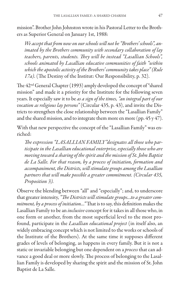mission". Brother John Johnston wrote in his Pastoral Letter to the Brothers as Superior General on January 1st, 1988:

*We accept that from now on our schools will not be "Brothers' schools", animated by the Brothers community with secondary collaboration of lay teachers, parents, students. They will be instead "Lasallian Schools", schools animated by Lasallian educative communities of faith "within which the apostolic activity of the Brothers' community takes place" (Rule 17a)*. (The Destiny of the Institut: Our Responsibility, p. 32).

The 42nd General Chapter (1993) amply developed the concept of "shared mission" and made it a priority for the Institute for the following seven years. It especially saw it to be *as a sign of the times, "an integral part of our vocation as religious lay persons"* (Circular 435, p. 43), and invite the Districts to strengthen the close relationship between the "Lasallian Family" and the shared mission, and to integrate them more en more (pp. 45 y 47).

With that new perspective the concept of the "Lasallian Family" was enriched:

*The expression "LASALLIAN FAMILY"designates all those who participate in the Lasallian educational enterprise, especially those who are moving toward a sharing of the spirit and the mission of St. John Baptist de La Salle. For that reason, by a process of initiation, formation and accompaniment, the Districts, will stimulate groups among the Lasallian partners that will make possible a greater commitment. (Circular 435, Proposition 3).*

Observe the blending between "all" and "especially"; and, to underscore that greater intensity, *"The Districts will stimulate groups…to a greater commitment, by a process of initiation…"*That is to say, this definition makes the Lasallian Family to be an *inclusive* concept for it takes in all those who, in one form or another, from the most superficial level to the most profound, participate in the *Lasallian educational project* (in itself also, an widely embracing concept which is not limited to the works or schools of the Institute of the Brothers). At the same time it supposes different grades of levels of belonging, as happens in every family. But it is not a static or invariable belonging but one dependent on a *process* that can advance a good deal or more slowly. The process of belonging to the Lasallian Family is developed by sharing the spirit and the mission of St. John Baptist de La Salle.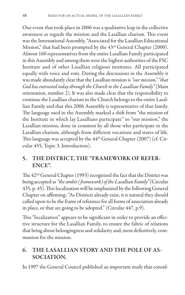One event that took place in 2006 was a qualitative leap in the collective awareness as regards the mission and the Lasallian charism. This event was the International Assembly, "Associated for the Lasallian Educational Mission," that had been prompted by the 43rd General Chapter (2000). Almost 160 representatives from the entire Lasallian Family participated in this Assembly and among them were the highest authorities of the FSC Institute and of other Lasallian religious institutes. All participated equally with voice and vote. During the discussions in the Assembly it was made abundantly clear that the Lasallian mission is *"our mission," "that God has entrusted today through the Church to the Lasallian Family"*(Main orientation, number 2). It was also made clear that the responsibility to continue the Lasallian charism in the Church belongs to the entire Lasallian Family and that this 2006 Assembly is representative of that family. The language used in the Assembly marked a shift from "the mission of the Institute in which lay Lasallians participate" to "our mission," the Lasallian mission, done in common by all those who participate in the Lasallian charism, although from different vocations and states of life. This language was accepted by the 44<sup>th</sup> General Chapter (2007) (cf. Circular 455, Topic 3, Introduction).

#### **5. THE DISTRICT, THE "FRAMEWORK OF REFER-ENCE".**

The 42nd General Chapter (1993) recognized the fact that the District was being accepted as *"the ambit ( framework) of the Lasallian Family"*(Circular 435, p. 45). This localization will be emphasized by the following General Chapter on affirming: "As Districts already exist, it is natural they should called upon to be the frame of reference for all forms of association already in place, or that are going to be adopted." (Circular 447, p.9).

This "localization" appears to be significant in order to provide an effective structure for the Lasallian Family, to ensure the fabric of relations that bring about belongingness and solidarity and, most definitively, communion for the mission.

## **6. THE LASALLIAN STORY AND THE POLE OF AS-SOCIATION.**

In 1997 the General Council published an important study that consid-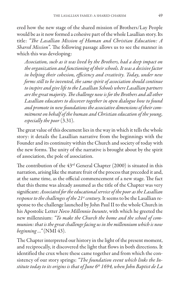ered how the new stage of the shared mission of Brothers/Lay People would be as it now formed a cohesive part of the whole Lasallian story. Its title: *"The Lasallian Mission of Human and Christian Education: A Shared Mission"*. The following passage allows us to see the manner in which this was developing:

*Association, such as it was lived by the Brothers, had a deep impact on the organization and functioning of their schools. It was a decisive factor in helping their cohesion, efficiency and creativity. Today, under new forms still to be invented, the same spirit of association should continue to inspire and give life to the Lasallian Schools where Lasallian partners are the great majority. The challenge now is for the Brothers and all other Lasallian educators to discover together in open dialogue how to found and promote in new foundations the associative dimensions of their commitment on behalf of the human and Christian education of the young, especially the poor* (3.31).

The great value of this document lies in the way in which it tells the whole story: it details the Lasallian narrative from the beginnings with the Founder and its continuity within the Church and society of today with the new forms. The unity of the narrative is brought about by the spirit of association, the pole of association.

The contribution of the 43rd General Chapter (2000) is situated in this narration, arising like the mature fruit of the process that preceded it and, at the same time, as the official commencement of a new stage. The fact that this theme was already assumed as the title of the Chapter was very significant: *Associated for the educational service of the poor as the Lasallian response to the challenges of the 21st century*. It seems to be the Lasallian response to the challenge launched by John Paul II to the whole Church in his Apostolic Letter *Novo Millennio Ineunte*, with which he greeted the new millennium: *"To make the Church the home and the school of communion: that is the great challenge facing us in the millennium which is now beginning …"* (NMI 43).

The Chapter interpreted our history in the light of the present moment, and reciprocally, it discovered the light that flows in both directions. It identified the crux where these came together and from which the consistency of our story springs: *"The foundation event which links the Institute today to its origins is that of June 6th 1694, when John Baptist de La*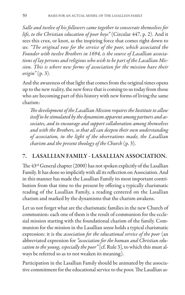*Salle and twelve of his followers came together to consecrate themselves for life, to the Christian education of poor boys"* (Circular 447, p. 2). And it sees this crux, or knot, as the inspiring force that comes right down to us: *"The original vow for the service of the poor, which associated the Founder with twelve Brothers in 1694, is the source of Lasallian associations of lay persons and religious who wish to be part of the Lasallian Mission. This is where new forms of association for the mission have their origin"* (p. 3).

And the awareness of that light that comes from the original times opens up to the new reality, the new force that is coming to us today from those who are becoming part of this history with new forms of living the same charism:

*The development of the Lasallian Mission requires the Institute to allow itself to be stimulated by the dynamism apparent among partners and associates, and to encourage and support collaboration among themselves and with the Brothers, so that all can deepen their own understanding of association, in the light of the observations made, the Lasallian charism and the present theology of the Church* (p. 3).

#### **7. LASALLIAN FAMILY - LASALLIAN ASSOCIATION.**

The 43rd General chapter (2000) has not spoken explicitly of the Lasallian Family. It has done so implicitly with all its reflection on Association. And in this manner has made the Lasallian Family its most important contribution from that time to the present by offering a typically charismatic reading of the Lasallian Family, a reading centered on the Lasallian charism and marked by the dynamisms that the charism awakens.

Let us not forget what are the charismatic families in the new Church of communion: each one of them is the result of communion for the ecclesial mission starting with the foundational charism of the family. Communion for the mission in the Lasallian sense holds a typical charismatic expression: it is the *association for the educational service of the poor* (an abbreviated expression for *"association for the human and Christian education to the young, especially the poor"* [cf. Rule 3], to which this must always be referred so as to not weaken its meaning).

Participation in the Lasallian Family should be animated by the associative commitment for the educational service to the poor. The Lasallian as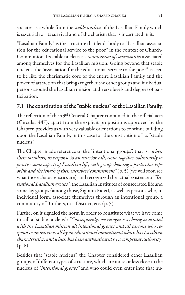sociates as a whole form the *stable nucleus* of the Lasallian Family which is essential for its survival and of the charism that is incarnated in it.

"Lasallian Family" is the structure that lends body to "Lasallian association for the educational service to the poor" in the context of Church-Communion. Its stable nucleus is a *communion of communities* associated among themselves for the Lasallian mission. Going beyond that stable nucleus, the "association for the educational service to the poor" is seen to be like the charismatic core of the entire Lasallian Family and the power of attraction that brings together the other groups and individual persons around the Lasallian mission at diverse levels and degrees of participation.

#### 7.1 The constitution of the "stable nucleus" of the Lasallian Family.

The reflection of the 43rd General Chapter contained in the official acts (Circular 447), apart from the explicit propositions approved by the Chapter, provides us with very valuable orientations to continue building upon the Lasallian Family, in this case for the constitution of its "stable nucleus".

The Chapter made reference to the "intentional groups", that is, *"when their members, in response to an interior call, come together voluntarily to practise some aspects of Lasallian life, each group choosing a particular type of life and the length of their members' commitment"*(p. 5) (we will soon see what those characteristics are), and recognized the actual existence of *"Intentional Lasallian groups"*: the Lasallian Institutes of consecrated life and some lay groups (among those, Signum Fidei), as well as persons who, in individual form, associate themselves through an intentional group, a community of Brothers, or a District, etc. (p. 5).

Further on it signaled the norm in order to constitute what we have come to call a "stable nucleus": *"Consequently, we recognise as being associated with the Lasallian mission all intentional groups and all persons who respond to an interior call by an educational commitment which has Lasallian characteristics, and which has been authenticated by a competent authority"* (p. 6).

Besides that "stable nucleus", the Chapter considered other Lasallian groups, of different types of structure, which are more or less close to the nucleus of *"intentional groups"* and who could even enter into that nu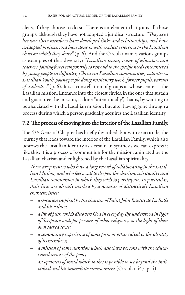cleus, if they choose to do so. There is an element that joins all those groups, although they have not adopted a juridical structure: *"They exist because their members have developed links and relationships, and have aAdopted projects, and have done so with explicit reference to the Lasallian charism which they share"* (p. 6). And the Circular names various groups as examples of that diversity: *"Lasallian teams, teams of educators and teachers, joining forces temporarily to respond to the specific needs encountered by young people in difficulty, Christian Lasallian communities, volunteers, Lasallian Youth, young people doing missionary work, former pupils, parents of students…"* (p. 6). It is a constellation of groups at whose center is the Lasallian mission. Entrance into the closest circles, in the ones that sustain and guarantee the mission, is done "intentionally", that is, by wanting to be associated with the Lasallian mission, but after having gone through a process during which a person gradually acquires the Lasallian identity.

### 7.2 The process of moving into the interior of the Lasallian Family.

The 43rd General Chapter has briefly described, but with exactitude, the journey that leads toward the interior of the Lasallian Family, which also bestows the Lasallian identity as a result. In synthesis we can express it like this: it is a process of communion for the mission, animated by the Lasallian charism and enlightened by the Lasallian spirituality.

*There are partners who have a long record of collaborating in the Lasallian Mission, and who feel a call to deepen the charism, spirituality and Lasallian communion in which they wish to participate. In particular, their lives are already marked by a number of distinctively Lasallian characteristics:*

- *a vocation inspired by the charism of Saint John Baptist de La Salle and his values;*
- *a life of faith which discovers God in everyday life understood in light of Scripture and, for persons of other religions, in the light of their own sacred texts;*
- *a community experience of some form or other suited to the identity of its members;*
- *a mission of some duration which associates persons with the educational service of the poor;*
- *an openness of mind which makes it possible to see beyond the individual and his immediate environment* (Circular 447, p. 4).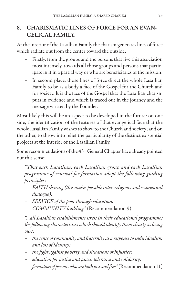#### **8. CHARISMATIC LINES OF FORCE FOR AN EVAN-GELICAL FAMILY.**

At the interior of the Lasallian Family the charism generates lines of force which radiate out from the center toward the outside:

- Firstly, from the groups and the persons that live this association most intensely, towards all those groups and persons that participate in it in a partial way or who are beneficiaries of the mission;
- In second place, those lines of force direct the whole Lasallian Family to be as a body a face of the Gospel for the Church and for society. It is the face of the Gospel that the Lasallian charism puts in evidence and which is traced out in the journey and the message written by the Founder.

Most likely this will be an aspect to be developed in the future: on one side, the identification of the features of that evangelical face that the whole Lasallian Family wishes to show to the Church and society; and on the other, to throw into relief the particularity of the distinct existential projects at the interior of the Lasallian Family.

Some recommendations of the 43<sup>rd</sup> General Chapter have already pointed out this sense:

*"That each Lasallian, each Lasallian group and each Lasallian programme of renewal for formation adopt the following guiding principles:*

- *FAITH sharing (this makes possible inter-religious and ecumenical dialogue),*
- *SERVICE of the poor through education,*
- *COMMUNITY building."* (Recommendation 9)

*"…all Lasallian establishments stress in their educational programmes the following characteristics which should identify them clearly as being ours:*

- *the sense of community and fraternity as a response to individualism and loss of identity;*
- *the fight against poverty and situations of injustice;*
- *education for justice and peace, tolerance and solidarity;*
- *formation of persons who are both just and free."*(Recommendation 11)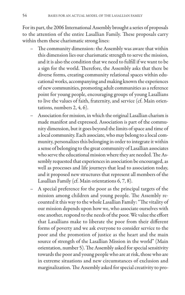For its part, the 2006 International Assembly brought a series of proposals to the attention of the entire Lasallian Family. These proposals carry within them these charismatic strong lines:

- The community dimension: the Assembly was aware that within this dimension lies our charismatic strength to serve the mission, and it is also the condition that we need to fulfill if we want to be a sign for the world. Therefore, the Assembly asks that there be diverse forms, creating community relational spaces within educational works, accompanying and making known the experiences of new communities, promoting adult communities as a reference point for young people, encouraging groups of young Lasallians to live the values of faith, fraternity, and service (cf. Main orientations, numbers 2, 4, 6).
- Association for mission, in which the original Lasallian charism is made manifest and expressed. Association is part of the community dimension, but it goes beyond the limits of space and time of a local community. Each associate, who may belong to a local community, personalizes this belonging in order to integrate it within a sense of belonging to the great community of Lasallian associates who serve the educational mission where they are needed. The Assembly requested that experiences in association be encouraged, as well as processes and life journeys that lead to association today, and it proposed new structures that represent all members of the Lasallian Family (cf. Main orientations 6, 7, 8).
- A special preference for the poor as the principal targets of the mission among children and young people. The Assembly recounted it this way to the whole Lasallian Family: "The vitality of our mission depends upon how we, who associate ourselves with one another, respond to the needs of the poor. We value the effort that Lasallians make to liberate the poor from their different forms of poverty and we ask everyone to consider service to the poor and the promotion of justice as the heart and the main source of strength of the Lasallian Mission in the world" (Main orientation, number 5). The Assembly asked for special sensitivity towards the poor and young people who are at risk, those who are in extreme situations and new circumstances of exclusion and marginalization. The Assembly asked for special creativity to pro-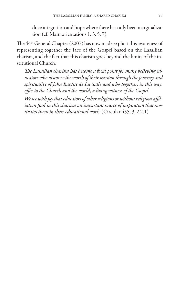duce integration and hope where there has only been marginalization (cf. Main orientations 1, 3, 5, 7).

The 44th General Chapter (2007) has now made explicit this awareness of representing together the face of the Gospel based on the Lasallian charism, and the fact that this charism goes beyond the limits of the institutional Church:

*The Lasallian charism has become a focal point for many believing educators who discover the worth of their mission through the journey and spirituality of John Baptist de La Salle and who together, in this way, offer to the Church and the world, a living witness of the Gospel.*

*We see with joy that educators of other religions or without religious affiliation find in this charism an important source of inspiration that motivates them in their educational work*. (Circular 455, 3, 2.2.1)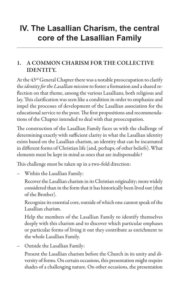# **IV. The Lasallian Charism, the central core of the Lasallian Family**

#### **1. A COMMON CHARISM FOR THE COLLECTIVE IDENTITY.**

At the 43rd General Chapter there was a notable preoccupation to clarify the *identity for the Lasallian mission* to foster a formation and a shared reflection on that theme, among the various Lasallians, both religious and lay. This clarification was seen like a condition in order to emphasize and impel the processes of development of the Lasallian association for the educational service to the poor. The first propositions and recommendations of the Chapter intended to deal with that preoccupation.

The construction of the Lasallian Family faces us with the challenge of determining exactly with sufficient clarity in what the Lasallian identity exists based on the Lasallian charism, an identity that can be incarnated in different forms of Christian life (and, perhaps, of other beliefs). What elements must be kept in mind as ones that are indispensable?

This challenge must be taken up in a two-fold direction:

– Within the Lasallian Family:

Recover the Lasallian charism in its Christian originality; more widely considered than in the form that it has historically been lived out (that of the Brother).

Recognize its essential core, outside of which one cannot speak of the Lasallian charism.

Help the members of the Lasallian Family to identify themselves deeply with this charism and to discover which particular emphases or particular forms of living it out they contribute as enrichment to the whole Lasallian Family.

– Outside the Lasallian Family:

Present the Lasallian charism before the Church in its unity and diversity of forms. On certain occasions, this presentation might require shades of a challenging nature. On other occasions, the presentation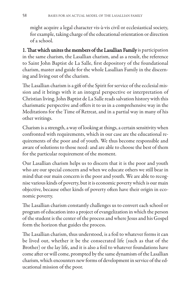might acquire a legal character vis-à-vis civil or ecclesiastical society, for example, taking charge of the educational orientation or direction of a school.

1. That which unites the members of the Lasallian Family is participation in the same charism, the Lasallian charism, and as a result, the reference to Saint John Baptist de La Salle, first depository of the foundational charism, master and guide for the whole Lasallian Family in the discerning and living out of the charism.

The Lasallian charism is a gift of the Spirit for service of the ecclesial mission and it brings with it an integral perspective or interpretation of Christian living. John Baptist de La Salle reads salvation history with this charismatic perspective and offers it to us in a comprehensive way in the Meditations for the Time of Retreat, and in a partial way in many of his other writings.

Charism is a strength, a way of looking at things, a certain sensitivity when confronted with requirements, which in our case are the educational requirements of the poor and of youth. We thus become responsible and aware of solutions to those need: and are able to choose the best of them for the particular requirement of the moment.

Our Lasallian charism helps us to discern that it is the poor and youth who are our special concern and when we educate others we still bear in mind that our main concern is the poor and youth. We are able to recognise various kinds of poverty, but it is economic poverty which is our main objective, because other kinds of poverty often have their origin in economic poverty.

The Lasallian charism constantly challenges us to convert each school or program of education into a project of evangelization in which the person of the student is the center of the process and where Jesus and his Gospel form the horizon that guides the process.

The Lasallian charism, thus understood, is a foil to whatever forms it can be lived out, whether it be the consecrated life (such as that of the Brother) or the lay life, and it is also a foil to whatever foundations have come after or will come, prompted by the same dynamism of the Lasallian charism, which encounters new forms of development in service of the educational mission of the poor.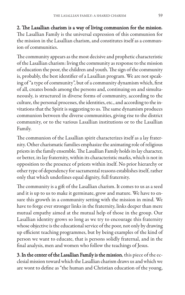#### 2. The Lasallian charism is a way of living communion for the mission.

The Lasallian Family is the universal expression of this communion for the mission in the Lasallian charism, and constitutes itself as a communion of communities.

The community appears as the most decisive and prophetic characteristic of the Lasallian charism: living the community as response to the mission of education the poor, the children and youth. The sign of the community is, probably, the best identifier of a Lasallian program. We are not speaking of "a type of community", but of a community dynamism which, first of all, creates bonds among the persons and, continuing on and simultaneously, is structured in diverse forms of community, according to the culture, the personal processes, the identities, etc., and according to the invitations that the Spirit is suggesting to us. The same dynamism produces communion between the diverse communities, giving rise to the district community, or to the various Lasallian institutions or to the Lasallian Family.

The communion of the Lasallian spirit characterizes itself as a lay fraternity. Other charismatic families emphasize the animating role of religious priests in the family ensemble. The Lasallian Family holds its lay character, or better, its lay fraternity, within its characteristic marks, which is not in opposition to the presence of priests within itself. No prior hierarchy or other type of dependency for sacramental reasons establishes itself, rather only that which underlines equal dignity, full fraternity.

The community is a gift of the Lasallian charism. It comes to us as a seed and it is up to us to make it germinate, grow and mature. We have to ensure this growth in a community setting with the mission in mind. We have to forge ever stronger links in the fraternity, links deeper than mere mutual empathy aimed at the mutual help of those in the group. Our Lasallian identity grows so long as we try to encourage this fraternity whose objective is the educational service of the poor, not only by drawing up efficient teaching programmes, but by being examples of the kind of person we want to educate, that is persons solidly fraternal, and in the final analysis, men and women who follow the teachings of Jesus.

3. In the center of the Lasallian Family is the mission, this piece of the ecclesial mission toward which the Lasallian charism draws us and which we are wont to define as "the human and Christian education of the young,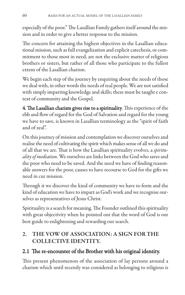especially of the poor." The Lasallian Family gathers itself around the mission and in order to give a better response to the mission.

The concern for attaining the highest objectives in the Lasallian educational mission, such as full evangelization and explicit catechesis, or commitment to those most in need, are not the exclusive matter of religious brothers or sisters, but rather of all those who participate to the fullest extent of the Lasallian charism.

We begin each step of the journey by enquiring about the needs of those we deal with, in other words the needs of real people. We are not satisfied with simply imparting knowledge and skills; these must be taught e context of community and the Gospel.

4. The Lasallian charism gives rise to a spirituality. This experience of the ebb and flow of regard for the God of Salvation and regard for the young we have to save, is known in Lasallian terminology as the "spirit of faith and of zeal".

On this journey of mission and contemplation we discover ourselves and realise the need of cultivating the spirit which makes sense of all we do and of all that we are. That is how the Lasallian spirituality evolves, a *spirituality of mediation*. We ourselves are links between the God who saves and the poor who need to be saved. And the need we have of finding reasonable answers for the poor, causes to have recourse to God for the gifts we need in cur mission.

Through it we discover the kind of community we have to form and the kind of education we have to impart as God's work and we recognise ourselves as representatives of Jesus Christ.

Spirituality is a search for meaning. The Founder outlined this spirituality with great objectivity when he pointed out that the word of God is our best guide to enlightening and rewarding our search.

### **2. THE VOW OF ASSOCIATION: A SIGN FOR THE COLLECTIVE IDENTITY.**

# 2.1 The re-encounter of the Brother with his original identity.

This present phenomenon of the association of lay persons around a charism which until recently was considered as belonging to religious is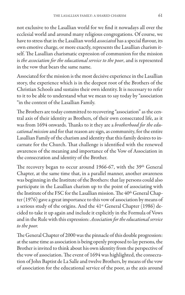not exclusive to the Lasallian world for we find it nowadays all over the ecclesial world and around many religious congregations. Of course, we have to stress that in the Lasallian world *associated* has a special flavour, its own emotive charge, or more exactly, represents the Lasallian charism itself. The Lasallian charismatic expression of communion for the mission is *the association for the educational service to the poor*, and is represented in the vow that bears the same name.

Associated for the mission is the most decisive experience in the Lasallian story, the experience which is in the deepest root of the Brothers of the Christian Schools and sustains their own identity. It is necessary to refer to it to be able to understand what we mean to say today by "association "in the context of the Lasallian Family.

The Brothers are today committed to recovering "association" as the central axis of their identity as Brothers, of their own consecrated life, as it was from 1694 onwards. Thanks to it they are a *brotherhood for the educational mission* and for that reason are sign, as community, for the entire Lasallian Family of the charism and identity that this family desires to incarnate for the Church. That challenge is identified with the renewed awareness of the meaning and importance of the Vow of Association in the consecration and identity of the Brother.

The recovery began to occur around 1966-67, with the 39<sup>th</sup> General Chapter, at the same time that, in a parallel manner, another awareness was beginning in the Institute of the Brothers: that lay persons could also participate in the Lasallian charism up to the point of associating with the Institute of the FSC for the Lasallian mission. The 40<sup>th</sup> General Chapter (1976) gave a great importance to this vow of association by means of a serious study of the origins. And the 41<sup>st</sup> General Chapter (1986) decided to take it up again and include it explicitly in the Formula of Vows and in the Rule with this expression: *Association for the educational service to the poor.*

The General Chapter of 2000 was the pinnacle of this double progression: at the same time as association is being openly proposed to lay persons, the Brother is invited to think about his own identity from the perspective of the vow of association. The event of 1694 was highlighted, the consecration of John Baptist de La Salle and twelve Brothers, by means of the vow of association for the educational service of the poor, as the axis around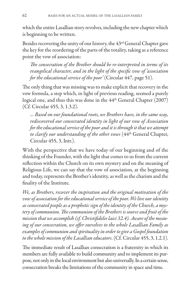which the entire Lasallian story revolves, including the new chapter which is beginning to be written.

Besides recovering the unity of our history, the 43rd General Chapter gave the key for the reordering of the parts of the totality, taking as a reference point the vow of association:

*The consecration of the Brother should be re-interpreted in terms of its evangelical character, and in the light of the specific vow of 'association for the educational service of the poor'* (Circular 447, page 51).

The only thing that was missing was to make explicit that recovery in the vow formula, a step which, in light of previous reading, seemed a purely logical one, and thus this was done in the 44th General Chapter (2007) (Cf. Circular 455, 3, 1.3.2).

*... Based on our foundational roots, we Brothers have, in the same way, rediscovered our consecrated identity in light of our vow of Association for the educational service of the poor and it is through it that we attempt to clarify our understanding of the other vows* (44th General Chapter, Circular 455, 3, Intr.).

With the perspective that we have today of our beginning and of the thinking of the Founder, with the light that comes to us from the current reflection within the Church on its own mystery and on the meaning of Religious Life, we can say that the vow of association, at the beginning and today, represents the Brother's identity, as well as the charism and the finality of the Institute.

*We, as Brothers, recover the inspiration and the original motivation of the vow of association for the educational service of the poor. We live our identity as consecrated people as a prophetic sign of the identity of the Church, a mystery of communion. The communion of the Brothers is source and fruit of the mission that we accomplish (cf. Christifideles laici 32.4). Aware of the meaning of our consecration, we offer ourselves to the whole Lasallian Family as examples of communion and spirituality in order to give a Gospel foundation to the whole mission of the Lasallian educators*. (Cf. Circular 455, 3, 1.2.1).

The immediate result of Lasallian consecration is a fraternity in which its members are fully available to build community and to implement its purpose, not only in the local environment but also universally. In a certain sense, consecration breaks the limitations of the community in space and time.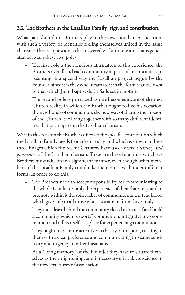#### 2.2 The Brothers in the Lasallian Family: sign and contribution.

What part should the Brothers play in the new Lasallian Association, with such a variety of identities feeling themselves united in the same charism? This is a question to be answered within a tension that is generated between these two poles:

- The first pole is the conscious affirmation of this experience: the Brothers overall and each community in particular, continue representing in a special way the Lasallian project begun by the Founder, since it is they who incarnate it in the form that is closest to that which John Baptist de La Salle set in motion.
- The second pole is generated as one becomes aware of the new Church reality in which the Brother ought to live his vocation, the new bonds of communion, the new way of sharing the mission of the Church, the living together with so many different identities that participate in the Lasallian charism.

Within this tension the Brothers discover the specific contribution which the Lasallian Family needs from them today, and which is shown in these three images which the recent Chapters have used: *heart, memory and guarantee* of the Lasallian charism. These are three functions which we Brothers must take on in a significant manner, even though other members of the Lasallian Family could take them on as well under different forms. In order to do this:

- The Brothers need to accept responsibility for communicating to the whole Lasallian Family the experience of their fraternity, and to promote within it the spirituality of communion, as the true blood which gives life to all those who associate to form this Family.
- They must leave behind the community closed in on itself and build a community which "exports" communion, integrates into communion and offers itself as a place for experiencing communion.
- They ought to be more attentive to the cry of the poor, turning to them with a clear preference and communicating this same sensitivity and urgency to other Lasallians.
- As a "living memory" of the Founder they have to situate themselves as the enlightening, and if necessary critical, conscience in the new structures of association.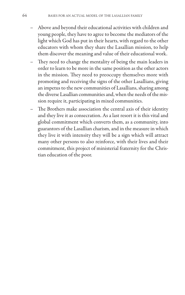- Above and beyond their educational activities with children and young people, they have to agree to become the mediators of the light which God has put in their hearts, with regard to the other educators with whom they share the Lasallian mission, to help them discover the meaning and value of their educational work.
- They need to change the mentality of being the main leaders in order to learn to be more in the same position as the other actors in the mission. They need to preoccupy themselves more with promoting and receiving the signs of the other Lasallians, giving an impetus to the new communities of Lasallians, sharing among the diverse Lasallian communities and, when the needs of the mission require it, participating in mixed communities.
- The Brothers make association the central axis of their identity and they live it as consecration. As a last resort it is this vital and global commitment which converts them, as a community, into guarantors of the Lasallian charism, and in the measure in which they live it with intensity they will be a sign which will attract many other persons to also reinforce, with their lives and their commitment, this project of ministerial fraternity for the Christian education of the poor.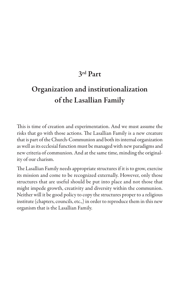# **3rd Part**

# **Organization and institutionalization of the Lasallian Family**

This is time of creation and experimentation. And we must assume the risks that go with those actions. The Lasallian Family is a new creature that is part of the Church-Communion and both its internal organization as well as its ecclesial function must be managed with new paradigms and new criteria of communion. And at the same time, minding the originality of our charism.

The Lasallian Family needs appropriate structures if it is to grow, exercise its mission and come to be recognized externally. However, only those structures that are useful should be put into place and not those that might impede growth, creativity and diversity within the communion. Neither will it be good policy to copy the structures proper to a religious institute (chapters, councils, etc.,) in order to reproduce them in this new organism that is the Lasallian Family.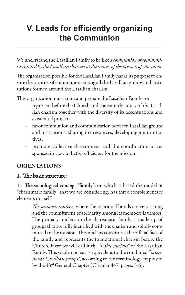# **V. Leads for efficiently organizing the Communion**

We understand the Lasallian Family to be like a *communion of communities united by the Lasallian charism at the service of the mission of education*.

The organization possible for the Lasallian Family has as its purpose to ensure the priority of communion among all the Lasallian groups and institutions formed around the Lasallian charism.

This organization must train and prepare the Lasallian Family to:

- represent before the Church and transmit the unity of the Lasallian charism together with the diversity of its accentuations and existential projects;
- favor communion and communication between Lasallian groups and institutions; sharing the resources, developing joint initiatives;
- promote collective discernment and the coordination of responses, in view of better efficiency for the mission.

#### **ORIENTATIONS:**

#### 1. The basic structure:

1.1 The sociological concept "family", on which is based the model of "charismatic family" that we are considering, has three complementary elements in itself:

– *The primary nucleus*, where the relational bonds are very strong and the commitment of solidarity among its members is utmost. The primary nucleus in the charismatic family is made up of groups that are fully identified with the charism and solidly committed to the mission. This nucleus constitutes the official face of the family and represents the foundational charism before the Church. Here we will call it the *"stable nucleus"* of the Lasallian Family. This stable nucleus is equivalent to the combined *"intentional Lasallian groups"*, according to the terminology employed by the 43rd General Chapter (Circular 447, pages. 5-6).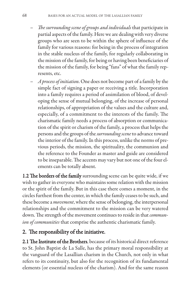- *The surrounding scene of groups and individuals*that participate in partial aspects of the family. Here we are dealing with very diverse groups who are seen to be within the sphere of influence of the family for various reasons: for being in the process of integration in the stable nucleus of the family, for regularly collaborating in the mission of the family, for being or having been beneficiaries of the mission of the family, for being "fans" of what the family represents, etc.
- *A process of initiation*. One does not become part of a family by the simple fact of signing a paper or receiving a title. Incorporation into a family requires a period of assimilation of blood, of developing the sense of mutual belonging, of the increase of personal relationships, of appropriation of the values and the culture and, especially, of a commitment to the interests of the family. The charismatic family needs a process of absorption or communication of the spirit or charism of the family, a process that helps the persons and the groups of the *surrounding scene*to advance toward the interior of the family. In this process, unlike the norms of previous periods, the mission, the spirituality, the communion and the reference to the Founder as master and guide are considered to be inseparable. The accents may vary but not one of the four elements can be totally absent.

1.2 The borders of the family surrounding scene can be quite wide, if we wish to gather in everyone who maintains some relation with the mission or the spirit of the family. But in this case there comes a moment, in the circles furthest from the center, in which the family ceases to be such, and these become a *movement*, where the sense of belonging, the interpersonal relationships and the commitment to the mission can be very watered down. The strength of the movement continues to reside in that *communion of communities* that comprise the authentic charismatic family.

## 2. The responsibility of the initiative.

2.1 The Institute of the Brothers, because of its historical direct reference to St. John Baptist de La Salle, has the primary moral responsibility at the vanguard of the Lasallian charism in the Church, not only in what refers to its continuity, but also for the recognition of its fundamental elements (or essential nucleus of the charism). And for the same reason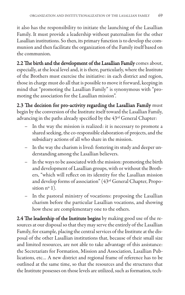it also has the responsibility to initiate the launching of the Lasallian Family. It must provide a leadership without paternalism for the other Lasallian institutions. So then, its primary function is to develop the communion and then facilitate the organization of the Family itself based on the communion.

2.2 The birth and the development of the Lasallian Family comes about, especially, at the local level and, it is there, particularly, where the Institute of the Brothers must exercise the initiative: in each district and region, those in charge must do all that is possible to move it forward, keeping in mind that "promoting the Lasallian Family" is synonymous with "promoting the association for the Lasallian mission".

2.3 The decision for pro-activity regarding the Lasallian Family must begin by the conversion of the Institute itself toward the Lasallian Family, advancing in the paths already specified by the 43rd General Chapter:

- In the way the mission is realized: it is necessary to promote a shared seeking, the co-responsible elaboration of projects, and the subsidiary actions of all who share in the mission.
- In the way the charism is lived: fostering its study and deeper understanding among the Lasallian believers.
- In the ways to be associated with the mission: promoting the birth and development of Lasallian groups, with or without the Brothers, "which will reflect on its identity for the Lasallian mission and develop forms of association" (43rd General Chapter, Proposition n<sup>o</sup> 1).
- In the pastoral ministry of vocations: proposing the Lasallian charism before the particular Lasallian vocations, and showing how these are complementary one to the others.

2.4 The leadership of the Institute begins by making good use of the resources at our disposal so that they may serve the entirely of the Lasallian Family, for example, placing the central services of the Institute at the disposal of the other Lasallian institutions that, because of their small size and limited resources, are not able to take advantage of this assistance: the Secretariats for Formation, Mission and Association, Lasallian Publications, etc… A new district and regional frame of reference has to be outlined at the same time, so that the resources and the structures that the Institute possesses on those levels are utilized, such as formation, tech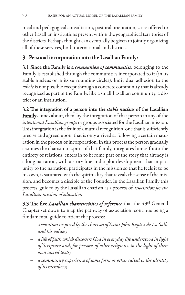nical and pedagogical consultation, pastoral orientation,… are offered to other Lasallian institutions present within the geographical territories of the districts. Perhaps thought can eventually be given to jointly organizing all of these services, both international and district…

## 3. Personal incorporation into the Lasallian Family:

3.1 Since the Family is a *communion of communities*, belonging to the Family is established through the communities incorporated to it (in its stable nucleus or in its surrounding circles). Individual adhesion to the *whole* is not possible except through a concrete community that is already recognized as part of the Family, like a small Lasallian community, a district or an institution.

3.2 The integration of a person into the *stable nucleus* of the Lasallian Family comes about, then, by the integration of that person in any of the *intentional Lasallian groups* or groups associated for the Lasallian mission. This integration is the fruit of a mutual recognition, one that is sufficiently precise and agreed upon, that is only arrived at following a certain maturation in the process of incorporation. In this process the person gradually assumes the charism or spirit of that family, integrates himself into the entirety of relations, enters in to become part of the story that already is a long narration, with a story line and a plot development that impart unity to the narration, participates in the mission so that he feels it to be his own, is saturated with the spirituality that reveals the sense of the mission, and becomes a disciple of the Founder. In the Lasallian Family this process, guided by the Lasallian charism, is a process of *association for the Lasallian mission of education*.

3.3 The five *Lasallian characteristics of reference* that the 43rd General Chapter set down to map the pathway of association, continue being a fundamental guide to orient the process:

- *a vocation inspired by the charism of Saint John Baptist de La Salle and his values;*
- *a life of faith which discovers God in everyday life understood in light of Scripture and, for persons of other religions, in the light of their own sacred texts;*
- *a community experience of some form or other suited to the identity of its members;*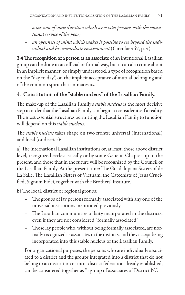- *a mission of some duration which associates persons with the educational service of the poor;*
- *an openness of mind which makes it possible to see beyond the individual and his immediate environment* (Circular 447, p. 4).

3.4 The recognition of a person as an associate of an intentional Lasallian group can be done in an official or formal way, but it can also come about in an implicit manner, or simply understood, a type of recognition based on the "day to day", on the implicit acceptance of mutual belonging and of the common spirit that animates us.

## 4. Constitution of the "stable nucleus" of the Lasallian Family.

The make-up of the Lasallian Family's *stable nucleus* is the most decisive step in order that the Lasallian Family can begin to consider itself a reality. The most essential structures permitting the Lasallian Family to function will depend on this *stable nucleus*.

The *stable nucleus* takes shape on two fronts: universal (international) and local (or district):

a) The international Lasallian institutions or, at least, those above district level, recognized ecclesiastically or by some General Chapter up to the present, and those that in the future will be recognized by the Council of the Lasallian Family. At the present time: The Guadalupana Sisters of de La Salle, The Lasallian Sisters of Vietnam, the Catechists of Jesus Crucified, Signum Fidei, together with the Brothers' Institute.

b) The local, district or regional groups:

- The groups of lay persons formally associated with any one of the universal institutions mentioned previously.
- The Lasallian communities of laity incorporated in the districts, even if they are not considered "formally associated".
- Those lay people who, without being formally associated, are normally recognized as associates in the districts, and they accept being incorporated into this stable nucleus of the Lasallian Family.

For organizational purposes, the persons who are individually associated to a district and the groups integrated into a district that do not belong to an institution or intra-district federation already established, can be considered together as "a group of associates of District N.".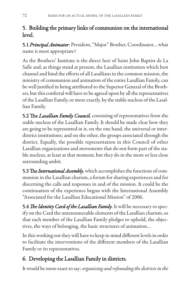## 5. Building the primary links of communion on the international level.

5.1 *Principal Animator*: President, "Major" Brother, Coordinator… what name is most appropriate?

As the Brothers' Institute is the direct heir of Saint John Baptist de La Salle and, as things stand at present, the Lasallian institution which best channel and bind the efforts of all Lasallians in the common mission, the ministry of communion and animation of the entire Lasallian Family, can be well justified in being attributed to the Superior General of the Brothers, but this conferral will have to be agreed upon by all the representatives of the Lasallian Family, or more exactly, by the stable nucleus of the Lasallian Family.

5.2 The *Lasallian Family Council*, consisting of representatives from the stable nucleus of the Lasallian Family. It should be made clear how they are going to be represented in it, on the one hand, the universal or interdistrict institutions; and on the other, the groups associated through the district. Equally, the possible representation in this Council of other Lasallian organizations and movements that do not form part of the stable nucleus, at least at that moment, but they do in the more or less close surrounding ambit.

5.3 The *International Assembly*, which accomplishes the functions of communion in the Lasallian charism, a forum for sharing experiences and for discerning the calls and responses in and of the mission. It could be the continuation of the experience begun with the International Assembly "Associated for the Lasallian Educational Mission" of 2006.

5.4 *The Identity Card of the Lasallian Family*. It will be necessary to specify on the Card the unrenounceable elements of the Lasallian charism, so that each member of the Lasallian Family pledges to uphold, the objectives, the ways of belonging, the basic structures of animation…

In this working out they will have to keep in mind different levels in order to facilitate the interventions of the different members of the Lasallian Family or its representatives.

# 6. Developing the Lasallian Family in districts.

It would be more exact to say: *organizing and refounding the districts in the*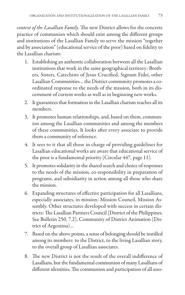*context of the Lasallian Family*. The new District allows for the concrete practice of communion which should exist among the different groups and institutions of the Lasallian Family to serve the mission "together and by association" (educational service of the poor) based on fidelity to the Lasallian charism:

- 1. Establishing an authentic collaboration between all the Lasallian institutions that work in the same geographical territory: Brothers, Sisters, Catechists of Jesus Crucified, Signum Fidei, other Lasallian Communities… the District community promotes a coordinated response to the needs of the mission, both in its discernment of current works as well as in beginning new works.
- 2. It guarantees that formation in the Lasallian charism reaches all its members.
- 3. It promotes human relationships, and, based on them, communion among the Lasallian communities and among the members of these communities. It looks after every associate to provide them a community of reference.
- 4. It sees to it that all those in charge of providing guidelines for Lasallian educational works are aware that educational service of the poor is a fundamental priority (Circular 447, page 11).
- 5. It promotes solidarity in the shared search and choice of responses to the needs of the mission, co-responsibility in preparation of programs, and subsidiarity in action among all those who share the mission.
- 6. Expanding structures of effective participation for all Lasallians, especially associates, in mission: Mission Council, Mission Assembly. Other structures developed with success in certain districts: The Lasallian Partners Council (District of the Philippines. See Bulletin 250, 7.2), Community of District Animation (District of Argentina)…
- 7. Based on the above points, a sense of belonging should be instilled among its members: to the District, to the living Lasallian story, to the overall group of Lasallian associates.
- 8. The new District is not the result of the overall indifference of Lasallians, but the fundamental communion of many Lasallians of different identities. The communion and participation of all asso-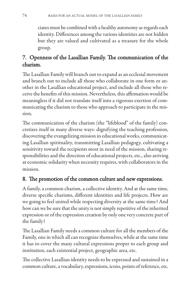ciates must be combined with a healthy autonomy as regards each identity. Differences among the various identities are not hidden but they are valued and cultivated as a treasure for the whole group.

## 7. Openness of the Lasallian Family. The communication of the charism.

The Lasallian Family will branch out to expand as an ecclesial movement and branch out to include all those who collaborate in one form or another in the Lasallian educational project, and include all those who receive the benefits of this mission. Nevertheless, this affirmation would be meaningless if it did not translate itself into a vigorous exertion of communicating the charism to those who approach to participate in the mission.

The communication of the charism (the "lifeblood" of the family) concretizes itself in many diverse ways: dignifying the teaching profession, discovering the evangelizing mission in educational works, communicating Lasallian spirituality, transmitting Lasallian pedagogy, cultivating a sensitivity toward the recipients most in need of the mission, sharing responsibilities and the direction of educational projects, etc., also arriving at economic solidarity when necessity requires, with collaborators in the mission.

# 8. The promotion of the common culture and new expressions.

A family, a common charism, a collective identity. And at the same time, diverse specific charisms, different identities and life projects. How are we going to feel united while respecting diversity at the same time? And how can we be sure that the unity is not simply repetitive of the inherited expression or of the expression creation by only one very concrete part of the family?

The Lasallian Family needs a common culture for all the members of the Family, one in which all can recognize themselves, while at the same time it has to cover the many cultural expressions proper to each group and institution, each existential project, geographic area, etc.

The collective Lasallian identity needs to be expressed and sustained in a common culture, a vocabulary, expressions, icons, points of reference, etc.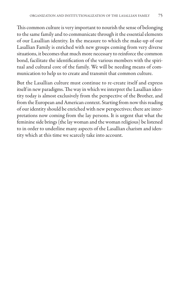This common culture is very important to nourish the sense of belonging to the same family and to communicate through it the essential elements of our Lasallian identity. In the measure to which the make-up of our Lasallian Family is enriched with new groups coming from very diverse situations, it becomes that much more necessary to reinforce the common bond, facilitate the identification of the various members with the spiritual and cultural core of the family. We will be needing means of communication to help us to create and transmit that common culture.

But the Lasallian culture must continue to re-create itself and express itself in new paradigms. The way in which we interpret the Lasallian identity today is almost exclusively from the perspective of the Brother, and from the European and American context. Starting from now this reading of our identity should be enriched with new perspectives; there are interpretations now coming from the lay persons. It is urgent that what the feminine side brings (the lay woman and the woman religious) be listened to in order to underline many aspects of the Lasallian charism and identity which at this time we scarcely take into account.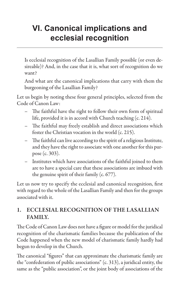# **VI. Canonical implications and ecclesial recognition**

Is ecclesial recognition of the Lasallian Family possible (or even desireable)? And, in the case that it is, what sort of recognition do we want?

And what are the canonical implications that carry with them the burgeoning of the Lasallian Family?

Let us begin by noting these four general principles, selected from the Code of Canon Law:

- The faithful have the right to follow their own form of spiritual life, provided it is in accord with Church teaching (c. 214).
- The faithful may freely establish and direct associations which foster the Christian vocation in the world (c. 215).
- The faithful can live according to the spirit of a religious Institute, and they have the right to associate with one another for this purpose (c. 303).
- Institutes which have associations of the faithful joined to them are to have a special care that these associations are imbued with the genuine spirit of their family (c. 677).

Let us now try to specify the ecclesial and canonical recognition, first with regard to the whole of the Lasallian Family and then for the groups associated with it.

## **1. ECCLESIAL RECOGNITION OF THE LASALLIAN FAMILY.**

The Code of Canon Law does not have a figure or model for the juridical recognition of the charismatic families because the publication of the Code happened when the new model of charismatic family hardly had begun to develop in the Church.

The canonical "figures" that can approximate the charismatic family are the "confederation of public associations" (c. 313), a juridical entity, the same as the "public association", or the joint body of associations of the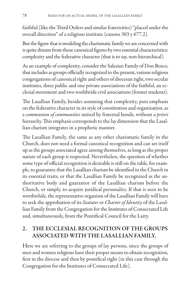faithful (like the Third Orders and similar fraternities) "placed under the overall direction" of a religious institute (canons 303 y 677.2).

But the figure that is modeling the charismatic family we are concerned with is quite distant from those canonical figures by two essential characteristics: complexity and the federative character (that is to say, non-hierarchical).

As an example of complexity, consider the Salesian Family of Don Bosco, that includes as groups officially recognized to the present, various religious congregations of canonical right and others of diocesan right, two secular institutes, three public and one private associations of the faithful, an ecclesial movement and two worldwide civil associations (former students).

The Lasallian Family, besides assuming that complexity, puts emphasis on the federative character in its style of constitution and organization, as a *communion of communities* united by fraternal bonds, without *a priori* hierarchy. This emphasis corresponds to the lay dimension that the Lasallian charism integrates in a prophetic manner.

The Lasallian Family, the same as any other charismatic family in the Church, does not need a formal canonical recognition and can set itself up as the groups associated agree among themselves, as long as the proper nature of each group is respected. Nevertheless, the question of whether some type of official recognition is desirable is still on the table, for example, to guarantee that the Lasallian charism be identified in the Church in its essential traits, or that the Lasallian Family be recognized as the authoritative body and guarantor of the Lasallian charism before the Church, or simply, to acquire juridical personality. If that is seen to be worthwhile, the representative organism of the Lasallian Family will have to seek the approbation of its *Statutes* or *Charter of Identity* of the Lasallian Family from the Congregation for the Institutes of Consecrated Life and, simultaneously, from the Pontifical Council for the Laity.

#### **2. THE ECCLESIAL RECOGNITION OF THE GROUPS ASSOCIATED WITH THE LASALLIAN FAMILY.**

Here we are referring to the groups of lay persons, since the groups of men and women religious have their proper means to obtain recognition, first in the diocese and then by pontifical right (in this case through the Congregation for the Institutes of Consecrated Life).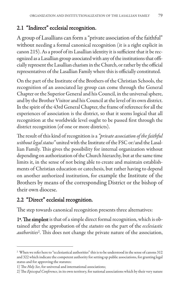## 2.1 "Indirect" ecclesial recognition.

A group of Lasallians can form a "private association of the faithful" without needing a formal canonical recognition (it is a right explicit in canon 215). As a proof of its Lasallian identity it is sufficient that it be recognized as a Lasallian group associated with any of the institutions that officially represent the Lasallian charism in the Church, or rather by the official representatives of the Lasallian Family where this is officially constituted.

On the part of the Institute of the Brothers of the Christian Schools, the recognition of an associated lay group can come through the General Chapter or the Superior General and his Council, in the universal sphere, and by the Brother Visitor and his Council at the level of its own district. In the spirit of the 43rd General Chapter, the frame of reference for all the experiences of association is the district, so that it seems logical that all recognition at the worldwide level ought to be passed first through the district recognition (of one or more districts).

The result of this kind of recognition is a *"private association of the faithful without legal status"* united with the Institute of the FSC or/and the Lasallian Family. This gives the possibility for internal organization without depending on authorization of the Church hierarchy, but at the same time limits it, in the sense of not being able to create and maintain establishments of Christian education or catechesis, but rather having to depend on another authorized institution, for example the Institute of the Brothers by means of the corresponding District or the bishop of their own diocese.

# 2.2 "Direct" ecclesial recognition.

The step towards canonical recognition presents three alternatives:

1ª. The simplest is that of a simple direct formal recognition, which is obtained after the approbation of the *statutes* on the part of the *ecclesiastic authorities*2. This does not change the private nature of the association,

<sup>2</sup> When we refer here to "ecclesiastical authorities" this is to be understood in the sense of canons 312 and 322 which indicate the competent authority for setting up public associations, for granting legal status and for approving the statutes:

<sup>1)</sup> The *Holy See*, for universal and international associations;

<sup>2)</sup> The *Episcopal Conference*, in its own territory, for national associations which by their very nature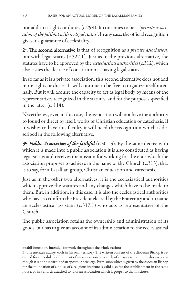nor add to it rights or duties (c.299). It continues to be a *"private association of the faithful with no legal status"*. In any case, the official recognition gives it a guarantee of ecclesiality.

2ª. The second alternative is that of recognition as a *private association*, but with legal status (c.322.1). Just as in the previous alternative, the statutes have to be approved by the *ecclesiastical authorities*(c.312), which also issues the decree of constitution as having legal status.

In so far as it is a private association, this second alternative does not add more rights or duties. It will continue to be free to organize itself internally. But it will acquire the capacity to act as legal body by means of the representatives recognized in the statutes, and for the purposes specified in the latter (c. 114).

Nevertheless, even in this case, the association will not have the authority to found or direct by itself, works of Christian education or catechesis. If it wishes to have this faculty it will need the recognition which is described in the following alternative.

3ª. *Public Association of the faithful* (c.301.3). By the same decree with which it is made into a public association it is also constituted as having legal status and receives the mission for working for the ends which the association proposes to achieve in the name of the Church (c.313), that is to say, for a Lasallian group, Christian education and catechesis.

Just as in the other two alternatives, it is the ecclesiastical authorities which approve the statutes and any changes which have to be made to them. But, in addition, in this case, it is also the ecclesiastical authorities who have to confirm the President elected by the Fraternity and to name an ecclesiastical assistant (c.317.1) who acts as representative of the Church.

The public association retains the ownership and administration of its goods, but has to give an account of its administration to the ecclesiastical

establishment are intended for work throughout the whole nation;

<sup>3)</sup> The *diocesan Bishop*, each in his own territory. The written consent of the diocesan Bishop is required for the valid establishment of an association or branch of an association in the diocese, even though it is done in virtue of an apostolic privilege. Permission which is given by the diocesan Bishop for the foundation of a house of a religious institute is valid also for the establishment in the same house, or in a church attached to it, of an association which is proper to that institute.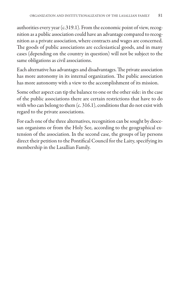authorities every year (c.319.1). From the economic point of view, recognition as a public association could have an advantage compared to recognition as a private association, where contracts and wages are concerned. The goods of public associations are ecclesiastical goods, and in many cases (depending on the country in question) will not be subject to the same obligations as civil associations.

Each alternative has advantages and disadvantages. The private association has more autonomy in its internal organization. The public association has more autonomy with a view to the accomplishment of its mission.

Some other aspect can tip the balance to one or the other side: in the case of the public associations there are certain restrictions that have to do with who can belong to them (c. 316.1), conditions that do not exist with regard to the private associations.

For each one of the three alternatives, recognition can be sought by diocesan organisms or from the Holy See, according to the geographical extension of the association. In the second case, the groups of lay persons direct their petition to the Pontifical Council for the Laity, specifying its membership in the Lasallian Family.